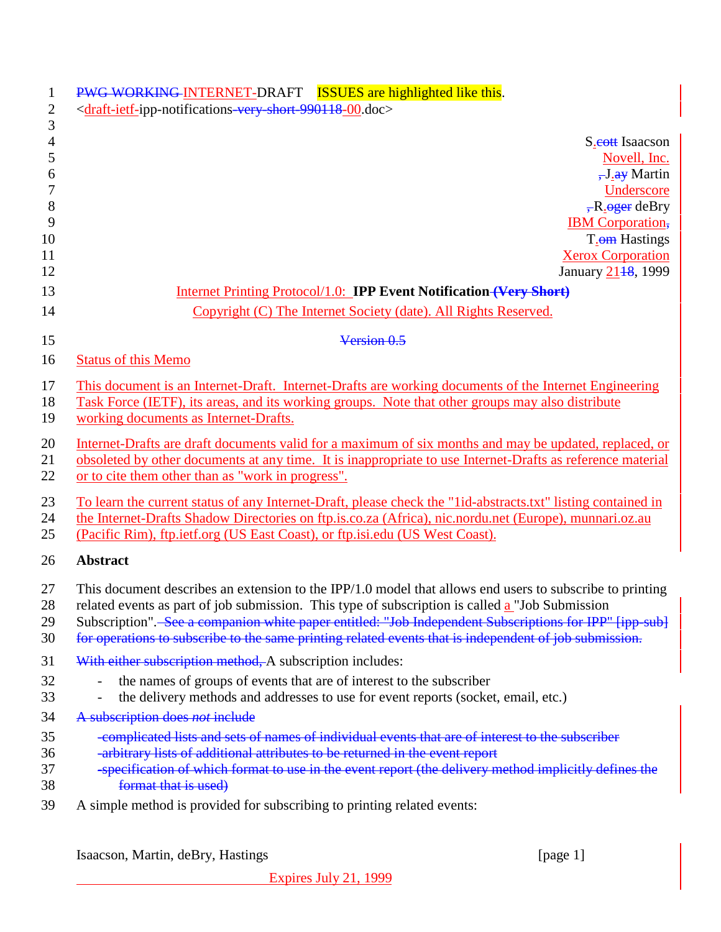| $\mathbf{1}$<br>$\mathbf{2}$ | PWG WORKING-INTERNET-DRAFT ISSUES are highlighted like this.<br><draft-ietf-ipp-notifications-very-short-990118-00.doc></draft-ietf-ipp-notifications-very-short-990118-00.doc>  |
|------------------------------|----------------------------------------------------------------------------------------------------------------------------------------------------------------------------------|
| 3                            |                                                                                                                                                                                  |
| $\overline{4}$               | S <sub>.</sub> cott Isaacson                                                                                                                                                     |
| $\sqrt{5}$                   | Novell, Inc.                                                                                                                                                                     |
| 6<br>$\overline{7}$          | $\frac{1}{2}$ . $\frac{1}{2}$ Martin                                                                                                                                             |
| 8                            | Underscore<br>$R$ oger deBry                                                                                                                                                     |
| 9                            | <b>IBM</b> Corporation,                                                                                                                                                          |
| 10                           | T <sub>.</sub> om Hastings                                                                                                                                                       |
| 11                           | <b>Xerox Corporation</b>                                                                                                                                                         |
| 12                           | January 21 <sup>18</sup> , 1999                                                                                                                                                  |
| 13                           | Internet Printing Protocol/1.0: IPP Event Notification (Very Short)                                                                                                              |
| 14                           | Copyright (C) The Internet Society (date). All Rights Reserved.                                                                                                                  |
| 15                           | Version 0.5                                                                                                                                                                      |
| 16                           | <b>Status of this Memo</b>                                                                                                                                                       |
| 17                           | This document is an Internet-Draft. Internet-Drafts are working documents of the Internet Engineering                                                                            |
| 18                           | Task Force (IETF), its areas, and its working groups. Note that other groups may also distribute                                                                                 |
| 19                           | working documents as Internet-Drafts.                                                                                                                                            |
| 20                           | Internet-Drafts are draft documents valid for a maximum of six months and may be updated, replaced, or                                                                           |
| 21                           | obsoleted by other documents at any time. It is inappropriate to use Internet-Drafts as reference material                                                                       |
| 22                           | or to cite them other than as "work in progress".                                                                                                                                |
| 23                           | To learn the current status of any Internet-Draft, please check the "1id-abstracts.txt" listing contained in                                                                     |
| 24                           | the Internet-Drafts Shadow Directories on ftp.is.co.za (Africa), nic.nordu.net (Europe), munnari.oz.au                                                                           |
| 25                           | (Pacific Rim), ftp.ietf.org (US East Coast), or ftp.isi.edu (US West Coast).                                                                                                     |
| 26                           | <b>Abstract</b>                                                                                                                                                                  |
| 27                           | This document describes an extension to the IPP/1.0 model that allows end users to subscribe to printing                                                                         |
| 28                           | related events as part of job submission. This type of subscription is called <b>a</b> "Job Submission                                                                           |
| 29                           | Subscription". See a companion white paper entitled: "Job Independent Subscriptions for IPP" [ipp-sub]                                                                           |
| 30                           | for operations to subscribe to the same printing related events that is independent of job submission.                                                                           |
| 31                           | With either subscription method, A subscription includes:                                                                                                                        |
| 32                           | the names of groups of events that are of interest to the subscriber                                                                                                             |
| 33                           | the delivery methods and addresses to use for event reports (socket, email, etc.)                                                                                                |
| 34                           | A subscription does not include                                                                                                                                                  |
| 35<br>36                     | -complicated lists and sets of names of individual events that are of interest to the subscriber<br>-arbitrary lists of additional attributes to be returned in the event report |
| 37                           | -specification of which format to use in the event report (the delivery method implicitly defines the                                                                            |
| 38                           | format that is used)                                                                                                                                                             |
| 39                           | A simple method is provided for subscribing to printing related events:                                                                                                          |

Isaacson, Martin, deBry, Hastings [page 1]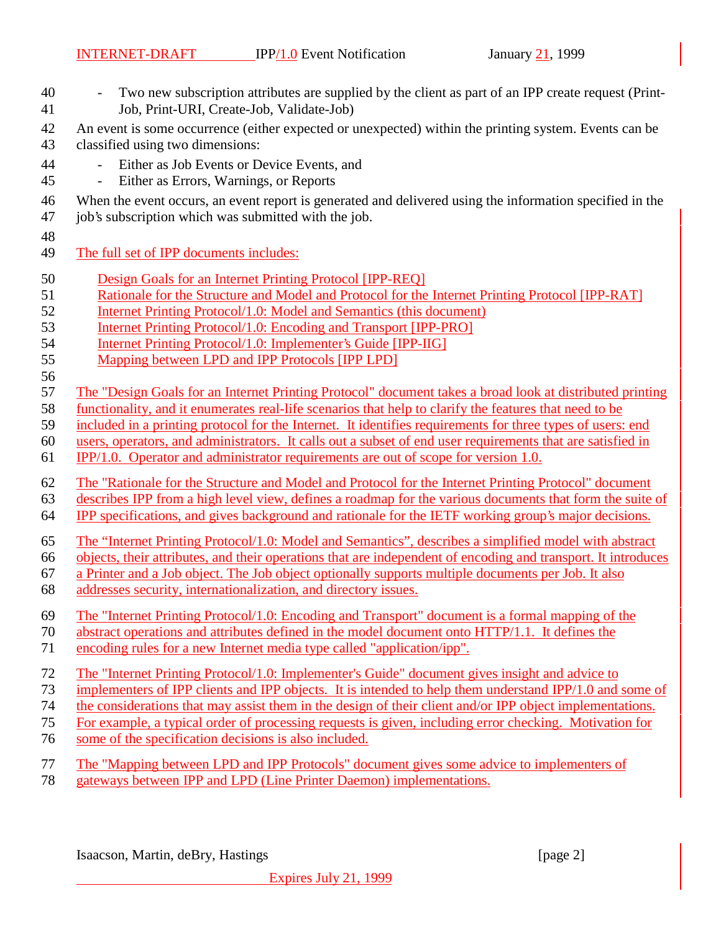- Two new subscription attributes are supplied by the client as part of an IPP create request (Print-Job, Print-URI, Create-Job, Validate-Job)
- An event is some occurrence (either expected or unexpected) within the printing system. Events can be
- classified using two dimensions:
- Either as Job Events or Device Events, and
- Either as Errors, Warnings, or Reports
- When the event occurs, an event report is generated and delivered using the information specified in the
- job's subscription which was submitted with the job.
- 
- The full set of IPP documents includes:
- Design Goals for an Internet Printing Protocol [IPP-REQ]
- Rationale for the Structure and Model and Protocol for the Internet Printing Protocol [IPP-RAT]
- Internet Printing Protocol/1.0: Model and Semantics (this document)
- Internet Printing Protocol/1.0: Encoding and Transport [IPP-PRO]
- Internet Printing Protocol/1.0: Implementer's Guide [IPP-IIG]
- Mapping between LPD and IPP Protocols [IPP LPD]
- 

The "Design Goals for an Internet Printing Protocol" document takes a broad look at distributed printing

- functionality, and it enumerates real-life scenarios that help to clarify the features that need to be
- included in a printing protocol for the Internet. It identifies requirements for three types of users: end
- users, operators, and administrators. It calls out a subset of end user requirements that are satisfied in
- IPP/1.0. Operator and administrator requirements are out of scope for version 1.0.

The "Rationale for the Structure and Model and Protocol for the Internet Printing Protocol" document

- describes IPP from a high level view, defines a roadmap for the various documents that form the suite of IPP specifications, and gives background and rationale for the IETF working group's major decisions.
- 
- The "Internet Printing Protocol/1.0: Model and Semantics", describes a simplified model with abstract
- objects, their attributes, and their operations that are independent of encoding and transport. It introduces
- a Printer and a Job object. The Job object optionally supports multiple documents per Job. It also
- addresses security, internationalization, and directory issues.
- The "Internet Printing Protocol/1.0: Encoding and Transport" document is a formal mapping of the
- abstract operations and attributes defined in the model document onto HTTP/1.1. It defines the
- encoding rules for a new Internet media type called "application/ipp".
- The "Internet Printing Protocol/1.0: Implementer's Guide" document gives insight and advice to
- 73 implementers of IPP clients and IPP objects. It is intended to help them understand IPP/1.0 and some of
- the considerations that may assist them in the design of their client and/or IPP object implementations.
- For example, a typical order of processing requests is given, including error checking. Motivation for
- some of the specification decisions is also included.
- The "Mapping between LPD and IPP Protocols" document gives some advice to implementers of
- gateways between IPP and LPD (Line Printer Daemon) implementations.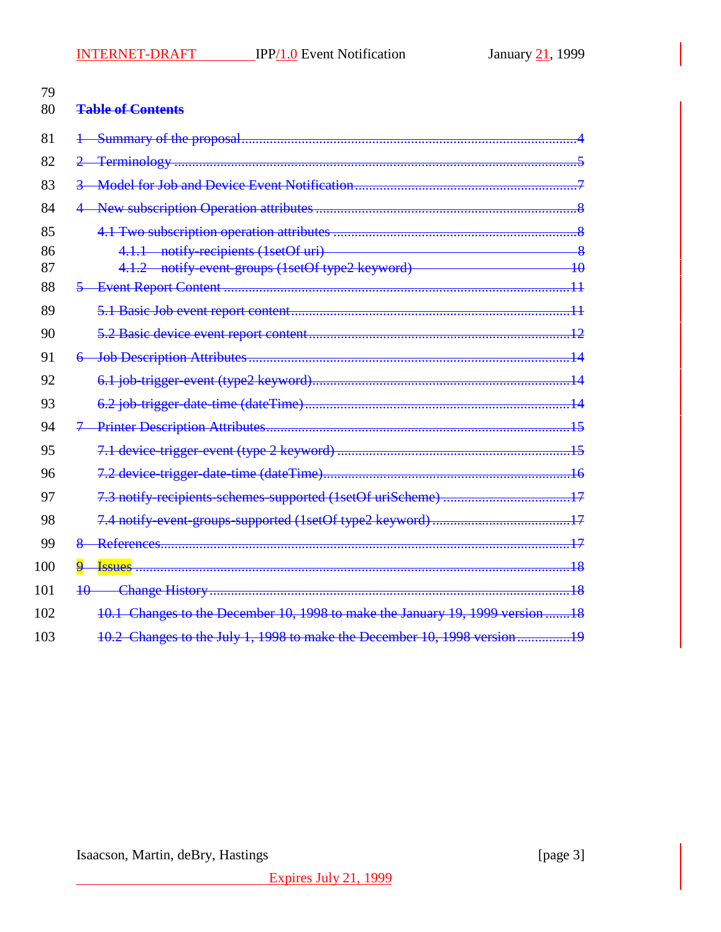| 79<br>80 | <b>Table of Contents</b>                                                                                                                                    |             |
|----------|-------------------------------------------------------------------------------------------------------------------------------------------------------------|-------------|
| 81       |                                                                                                                                                             |             |
| 82       |                                                                                                                                                             |             |
| 83       |                                                                                                                                                             |             |
| 84       |                                                                                                                                                             |             |
| 85       |                                                                                                                                                             |             |
| 86<br>87 | 4.1.1 notify-recipients (1setOf uri)<br><u> 1980 - Johann Barn, mars an t-Amerikaansk ferskeiz (</u><br>4.1.2 notify-event-groups (1setOf type2 keyword) 10 | $-\sqrt{8}$ |
| 88       |                                                                                                                                                             |             |
| 89       |                                                                                                                                                             |             |
| 90       |                                                                                                                                                             |             |
| 91       |                                                                                                                                                             |             |
| 92       |                                                                                                                                                             |             |
| 93       |                                                                                                                                                             |             |
| 94       |                                                                                                                                                             |             |
| 95       |                                                                                                                                                             |             |
| 96       |                                                                                                                                                             |             |
| 97       |                                                                                                                                                             |             |
| 98       |                                                                                                                                                             |             |
| 99       |                                                                                                                                                             |             |
| 100      | $\overline{\mathbf{q}}$<br><b>Issues</b>                                                                                                                    |             |
| 101      |                                                                                                                                                             |             |
| 102      | 10.1 Changes to the December 10, 1998 to make the January 19, 1999 version 18                                                                               |             |
| 103      | 10.2 Changes to the July 1, 1998 to make the December 10, 1998 version19                                                                                    |             |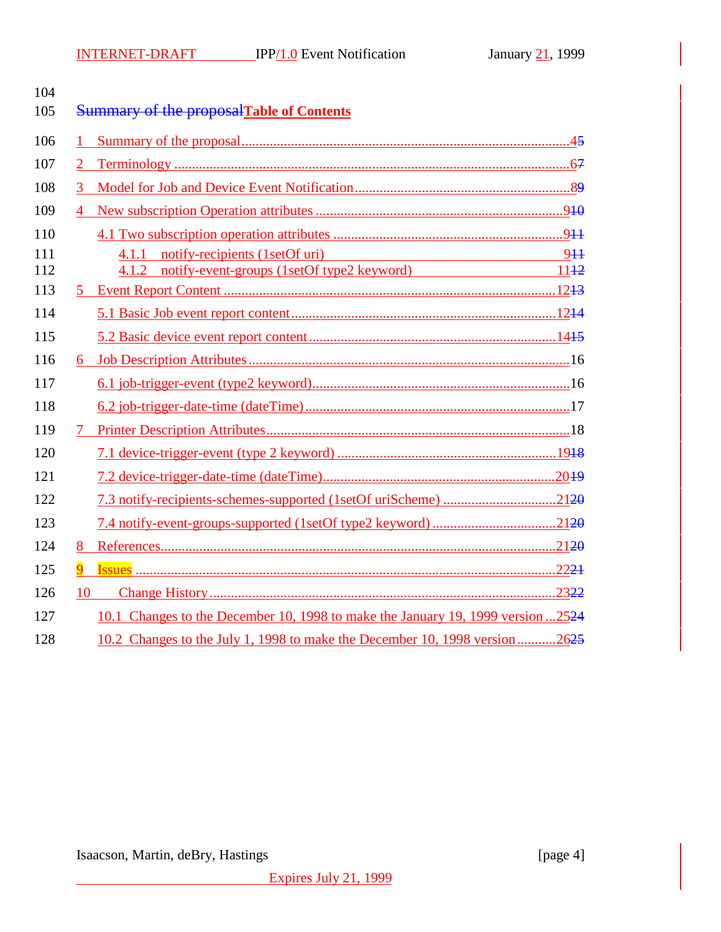| 104 |                |                                                                                 |  |
|-----|----------------|---------------------------------------------------------------------------------|--|
| 105 |                | <b>Summary of the proposal Table of Contents</b>                                |  |
| 106 | 1              |                                                                                 |  |
| 107 |                |                                                                                 |  |
| 108 |                |                                                                                 |  |
| 109 | $\overline{4}$ |                                                                                 |  |
| 110 |                |                                                                                 |  |
| 111 |                | 4.1.1 notify-recipients (1setOf uri) 944                                        |  |
| 112 |                | 4.1.2 notify-event-groups (1setOf type2 keyword) 1142                           |  |
| 113 |                |                                                                                 |  |
| 114 |                |                                                                                 |  |
| 115 |                |                                                                                 |  |
| 116 | 6.             |                                                                                 |  |
| 117 |                |                                                                                 |  |
| 118 |                |                                                                                 |  |
| 119 |                |                                                                                 |  |
| 120 |                |                                                                                 |  |
| 121 |                |                                                                                 |  |
| 122 |                | 7.3 notify-recipients-schemes-supported (1setOf uriScheme) 2120                 |  |
| 123 |                |                                                                                 |  |
| 124 | 8              |                                                                                 |  |
| 125 | 9              |                                                                                 |  |
| 126 | 10             |                                                                                 |  |
| 127 |                | 10.1 Changes to the December 10, 1998 to make the January 19, 1999 version 2524 |  |
| 128 |                | 10.2 Changes to the July 1, 1998 to make the December 10, 1998 version2625      |  |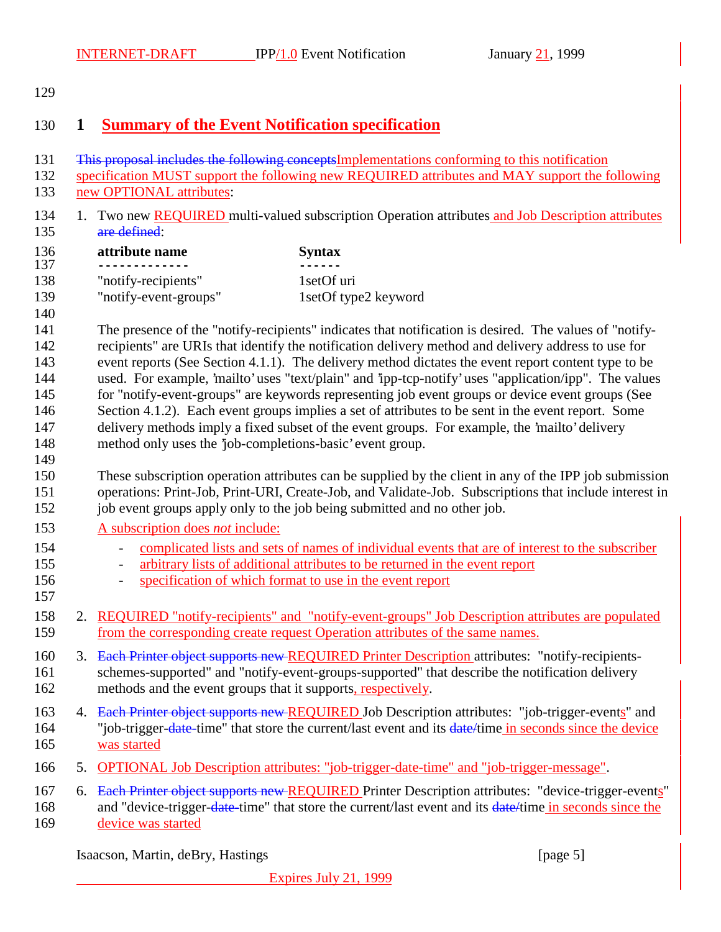## **1 Summary of the Event Notification specification**

- This proposal includes the following conceptsImplementations conforming to this notification
- specification MUST support the following new REQUIRED attributes and MAY support the following new OPTIONAL attributes:
- 134 1. Two new REQUIRED multi-valued subscription Operation attributes and Job Description attributes are defined:
- 136 **attribute name Syntax**<br>137 **------------- CONS ------------- ------** 138 "notify-recipients" 1setOf uri "notify-event-groups" 1setOf type2 keyword

 The presence of the "notify-recipients" indicates that notification is desired. The values of "notify- recipients" are URIs that identify the notification delivery method and delivery address to use for event reports (See Section 4.1.1). The delivery method dictates the event report content type to be used. For example, 'mailto' uses "text/plain" and 'ipp-tcp-notify' uses "application/ipp". The values for "notify-event-groups" are keywords representing job event groups or device event groups (See 146 Section 4.1.2). Each event groups implies a set of attributes to be sent in the event report. Some delivery methods imply a fixed subset of the event groups. For example, the 'mailto' delivery method only uses the 'job-completions-basic' event group.

 These subscription operation attributes can be supplied by the client in any of the IPP job submission operations: Print-Job, Print-URI, Create-Job, and Validate-Job. Subscriptions that include interest in 152 job event groups apply only to the job being submitted and no other job.

- A subscription does *not* include:
- 154 complicated lists and sets of names of individual events that are of interest to the subscriber
- arbitrary lists of additional attributes to be returned in the event report
- specification of which format to use in the event report
- 

- 2. REQUIRED "notify-recipients" and "notify-event-groups" Job Description attributes are populated from the corresponding create request Operation attributes of the same names.
- 160 3. Each Printer object supports new REQUIRED Printer Description attributes: "notify-recipients- schemes-supported" and "notify-event-groups-supported" that describe the notification delivery methods and the event groups that it supports, respectively.
- 163 4. Each Printer object supports new REQUIRED Job Description attributes: "job-trigger-events" and 164 "job-trigger-date-time" that store the current/last event and its date/time in seconds since the device was started
- 5. OPTIONAL Job Description attributes: "job-trigger-date-time" and "job-trigger-message".

167 6. Each Printer object supports new REQUIRED Printer Description attributes: "device-trigger-events"

168 and "device-trigger-date-time" that store the current/last event and its date/time in seconds since the device was started

Isaacson, Martin, deBry, Hastings [page 5]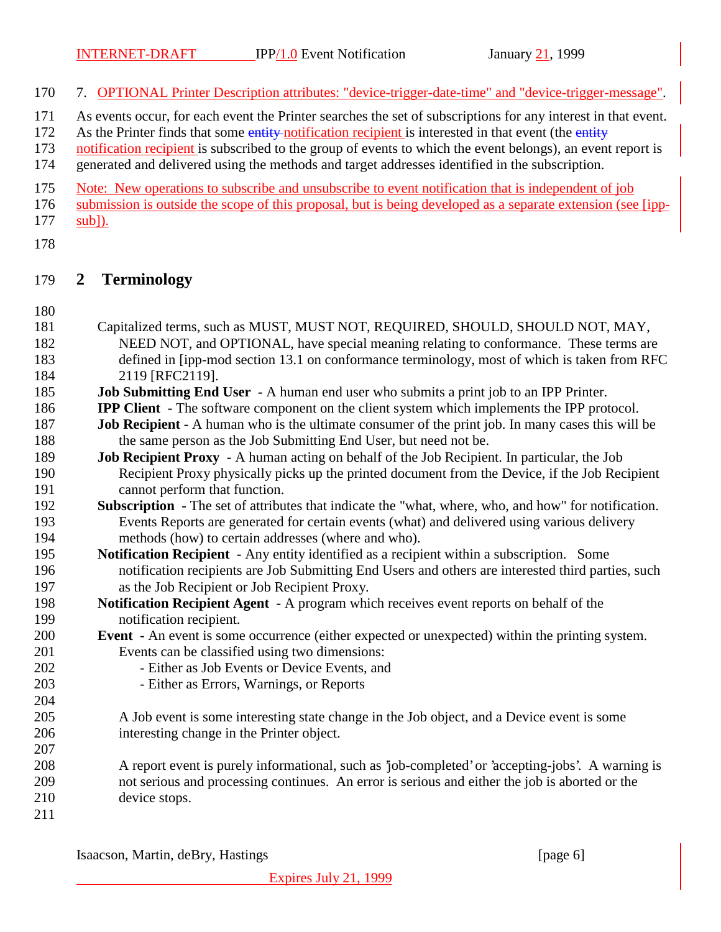7. OPTIONAL Printer Description attributes: "device-trigger-date-time" and "device-trigger-message".

- As events occur, for each event the Printer searches the set of subscriptions for any interest in that event.
- 172 As the Printer finds that some entity-notification recipient is interested in that event (the entity
- notification recipient is subscribed to the group of events to which the event belongs), an event report is generated and delivered using the methods and target addresses identified in the subscription.
- Note: New operations to subscribe and unsubscribe to event notification that is independent of job
- submission is outside the scope of this proposal, but is being developed as a separate extension (see [ipp-
- sub]).
- 

## **2 Terminology**

- Capitalized terms, such as MUST, MUST NOT, REQUIRED, SHOULD, SHOULD NOT, MAY, NEED NOT, and OPTIONAL, have special meaning relating to conformance. These terms are defined in [ipp-mod section 13.1 on conformance terminology, most of which is taken from RFC 2119 [RFC2119].
- **Job Submitting End User** A human end user who submits a print job to an IPP Printer.
- **IPP Client** The software component on the client system which implements the IPP protocol.
- **Job Recipient** A human who is the ultimate consumer of the print job. In many cases this will be 188 the same person as the Job Submitting End User, but need not be.
- **Job Recipient Proxy** A human acting on behalf of the Job Recipient. In particular, the Job Recipient Proxy physically picks up the printed document from the Device, if the Job Recipient cannot perform that function.
- **Subscription** The set of attributes that indicate the "what, where, who, and how" for notification. Events Reports are generated for certain events (what) and delivered using various delivery methods (how) to certain addresses (where and who).
- **Notification Recipient** Any entity identified as a recipient within a subscription. Some notification recipients are Job Submitting End Users and others are interested third parties, such as the Job Recipient or Job Recipient Proxy.
- **Notification Recipient Agent** A program which receives event reports on behalf of the notification recipient.
- **Event** An event is some occurrence (either expected or unexpected) within the printing system. Events can be classified using two dimensions:
- 202 Either as Job Events or Device Events, and
- Either as Errors, Warnings, or Reports
- A Job event is some interesting state change in the Job object, and a Device event is some interesting change in the Printer object.
- A report event is purely informational, such as 'job-completed' or 'accepting-jobs'. A warning is not serious and processing continues. An error is serious and either the job is aborted or the device stops.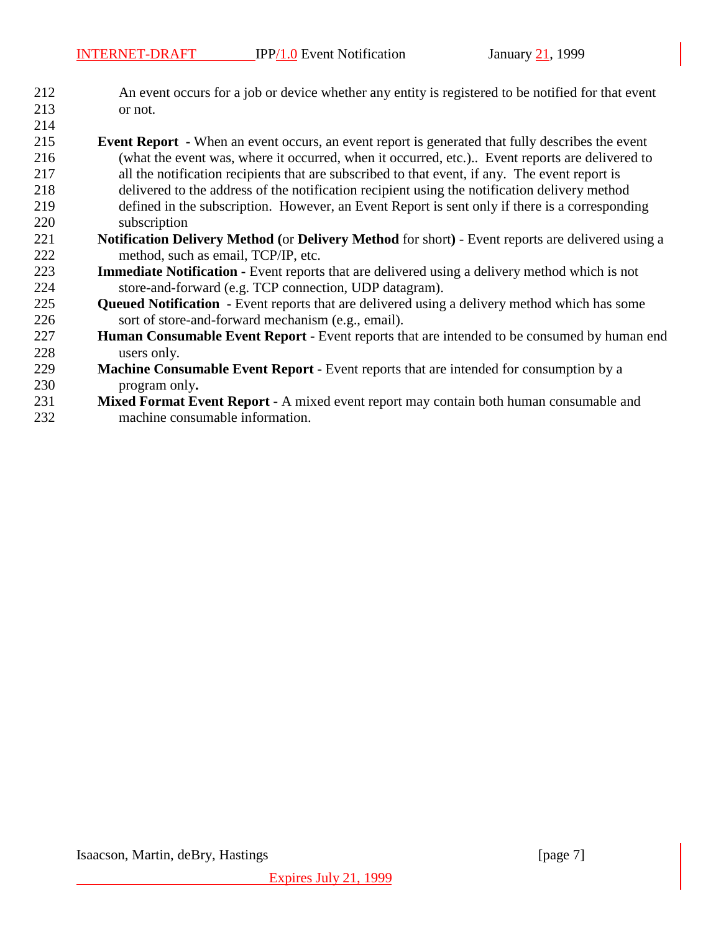- An event occurs for a job or device whether any entity is registered to be notified for that event or not.
- **Event Report -** When an event occurs, an event report is generated that fully describes the event (what the event was, where it occurred, when it occurred, etc.).. Event reports are delivered to all the notification recipients that are subscribed to that event, if any. The event report is delivered to the address of the notification recipient using the notification delivery method defined in the subscription. However, an Event Report is sent only if there is a corresponding subscription **Notification Delivery Method (**or **Delivery Method** for short**)** - Event reports are delivered using a
- method, such as email, TCP/IP, etc. **Immediate Notification -** Event reports that are delivered using a delivery method which is not store-and-forward (e.g. TCP connection, UDP datagram).
- **Queued Notification** Event reports that are delivered using a delivery method which has some sort of store-and-forward mechanism (e.g., email).
- **Human Consumable Event Report -** Event reports that are intended to be consumed by human end users only.
- **Machine Consumable Event Report -** Event reports that are intended for consumption by a program only**.**
- **Mixed Format Event Report -** A mixed event report may contain both human consumable and machine consumable information.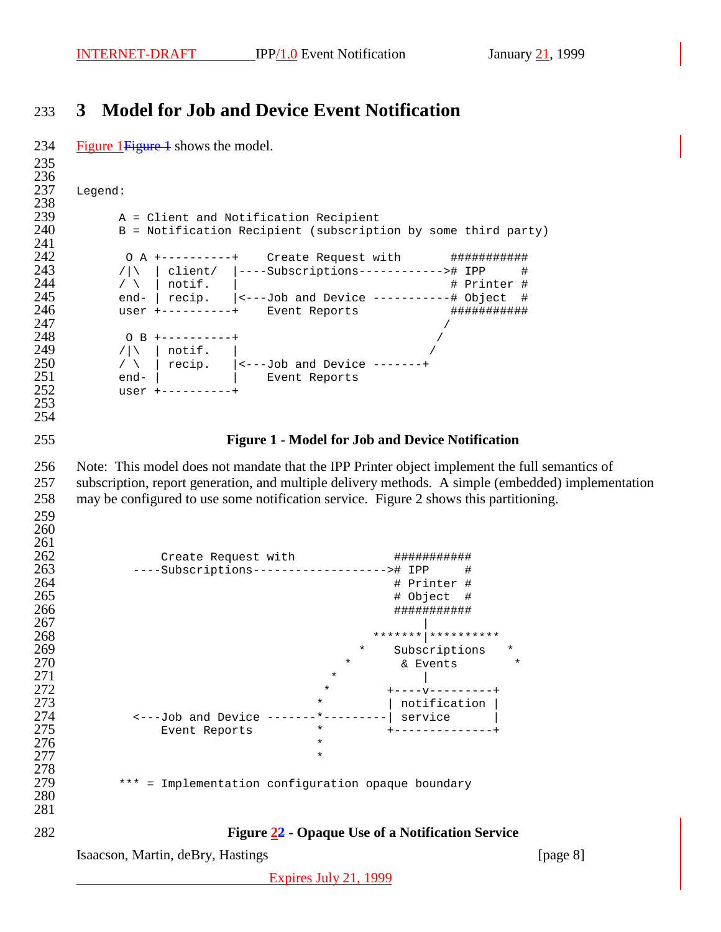# **3 Model for Job and Device Event Notification**

Isaacson, Martin, deBry, Hastings [page 8] 234 Figure 1 Figure 1 shows the model. 236<br>237 Legend: 238<br>239 A = Client and Notification Recipient B = Notification Recipient (subscription by some third party) 241<br>242 242 0 A +----------+ Create Request with #############<br>243 / | | client/ |----Subscriptions-----------># IPP # /|\ | client/ |----Subscriptions------------># IPP # / \ | notif. |  $\qquad$  # Printer # end- | recip. |<---Job and Device -----------# Object # 246 user +----------+ Event Reports ################<br>247 O B +----------+ / /|\ | notif. | / \ | recip. |<---Job and Device -------+ end- | | Event Reports user +----------+ **Figure 1 - Model for Job and Device Notification** Note: This model does not mandate that the IPP Printer object implement the full semantics of subscription, report generation, and multiple delivery methods. A simple (embedded) implementation may be configured to use some notification service. Figure 2 shows this partitioning. 261<br>262 262 Create Request with <br> $---Subscriptions------------++ IPP$  # ----Subscriptions-------------------># IPP # # Printer # # Object # ########### \*\*\*\*\*\*\*|\*\*\*\*\*\*\*\*\*\* 269 \* Subscriptions \* Subscriptions \* 270 \* Subscriptions \* Subscriptions \*  $\kappa$  Events  $\star$  & Events  $\star$   $*$  | 272 \* +----v--------+<br>273 \* + +---v--------+ \* | notification | <---Job and Device -------\*---------| service | Event Reports \* +--------------+  $*$ 278<br>279 \*\*\* = Implementation configuration opaque boundary **Figure 22 - Opaque Use of a Notification Service**

Expires July 21, 1999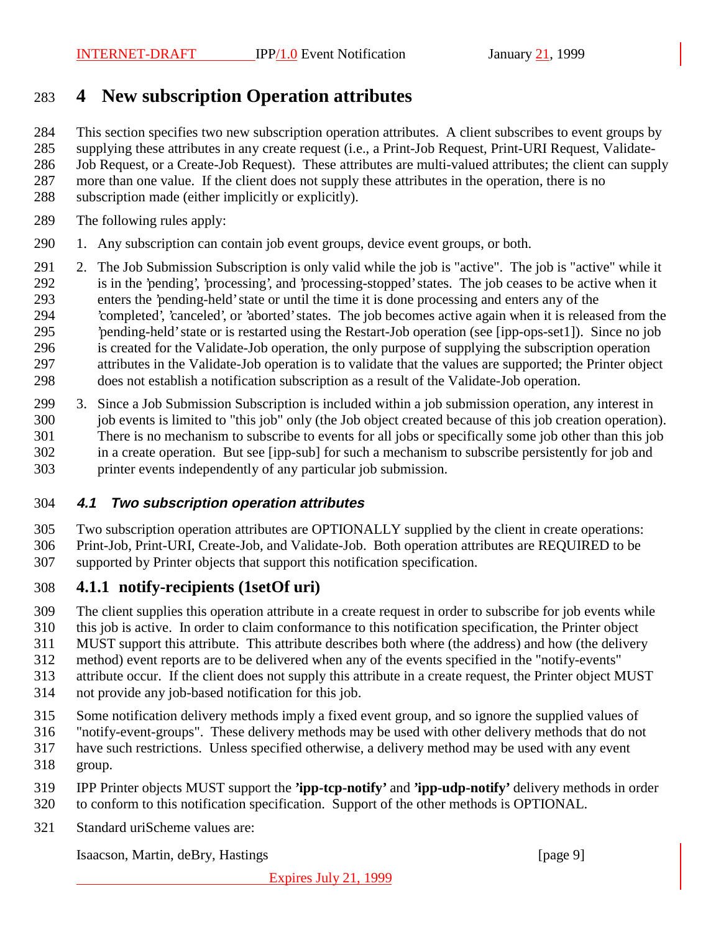# **4 New subscription Operation attributes**

This section specifies two new subscription operation attributes. A client subscribes to event groups by

supplying these attributes in any create request (i.e., a Print-Job Request, Print-URI Request, Validate-

Job Request, or a Create-Job Request). These attributes are multi-valued attributes; the client can supply

- more than one value. If the client does not supply these attributes in the operation, there is no
- subscription made (either implicitly or explicitly).
- The following rules apply:
- 1. Any subscription can contain job event groups, device event groups, or both.
- 2. The Job Submission Subscription is only valid while the job is "active". The job is "active" while it is in the 'pending', 'processing', and 'processing-stopped' states. The job ceases to be active when it enters the 'pending-held' state or until the time it is done processing and enters any of the 'completed', 'canceled', or 'aborted' states. The job becomes active again when it is released from the 'pending-held' state or is restarted using the Restart-Job operation (see [ipp-ops-set1]). Since no job is created for the Validate-Job operation, the only purpose of supplying the subscription operation attributes in the Validate-Job operation is to validate that the values are supported; the Printer object does not establish a notification subscription as a result of the Validate-Job operation.
- 3. Since a Job Submission Subscription is included within a job submission operation, any interest in job events is limited to "this job" only (the Job object created because of this job creation operation). There is no mechanism to subscribe to events for all jobs or specifically some job other than this job in a create operation. But see [ipp-sub] for such a mechanism to subscribe persistently for job and printer events independently of any particular job submission.

#### **4.1 Two subscription operation attributes**

Two subscription operation attributes are OPTIONALLY supplied by the client in create operations:

Print-Job, Print-URI, Create-Job, and Validate-Job. Both operation attributes are REQUIRED to be

supported by Printer objects that support this notification specification.

## **4.1.1 notify-recipients (1setOf uri)**

- The client supplies this operation attribute in a create request in order to subscribe for job events while
- this job is active. In order to claim conformance to this notification specification, the Printer object
- MUST support this attribute. This attribute describes both where (the address) and how (the delivery
- method) event reports are to be delivered when any of the events specified in the "notify-events"
- attribute occur. If the client does not supply this attribute in a create request, the Printer object MUST
- not provide any job-based notification for this job.
- Some notification delivery methods imply a fixed event group, and so ignore the supplied values of
- "notify-event-groups". These delivery methods may be used with other delivery methods that do not
- have such restrictions. Unless specified otherwise, a delivery method may be used with any event
- group.
- IPP Printer objects MUST support the **'ipp-tcp-notify'** and **'ipp-udp-notify'** delivery methods in order to conform to this notification specification. Support of the other methods is OPTIONAL.
- Standard uriScheme values are:

Isaacson, Martin, deBry, Hastings [page 9]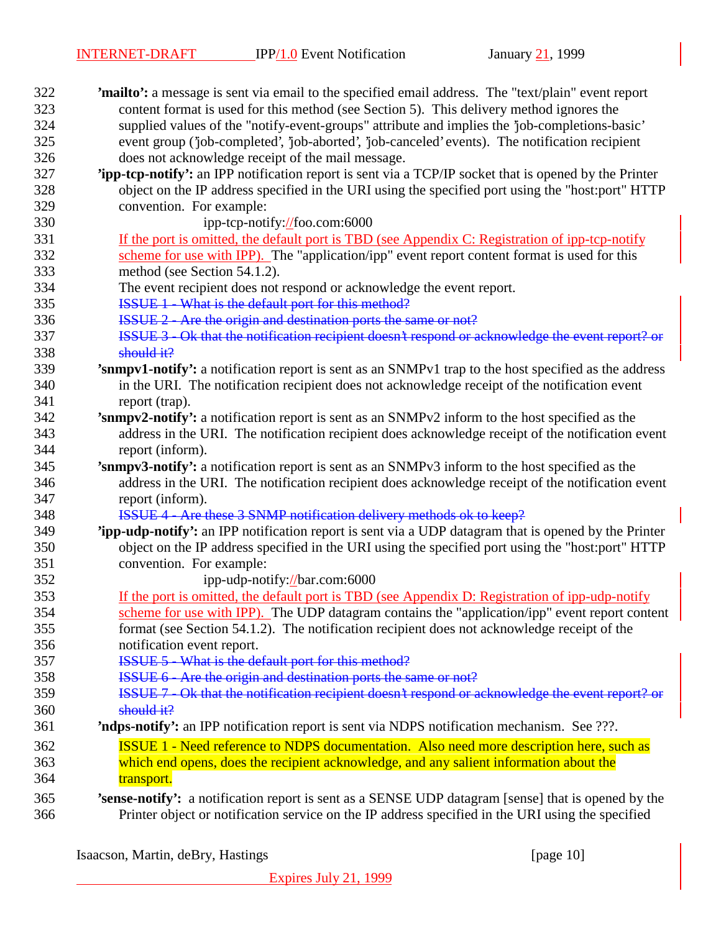| 322 | <b>'mailto':</b> a message is sent via email to the specified email address. The "text/plain" event report   |
|-----|--------------------------------------------------------------------------------------------------------------|
| 323 | content format is used for this method (see Section 5). This delivery method ignores the                     |
| 324 | supplied values of the "notify-event-groups" attribute and implies the 'job-completions-basic'               |
| 325 | event group (job-completed', job-aborted', job-canceled' events). The notification recipient                 |
| 326 | does not acknowledge receipt of the mail message.                                                            |
| 327 | 'ipp-tcp-notify': an IPP notification report is sent via a TCP/IP socket that is opened by the Printer       |
| 328 | object on the IP address specified in the URI using the specified port using the "host:port" HTTP            |
| 329 | convention. For example:                                                                                     |
| 330 | ipp-tcp-notify://foo.com:6000                                                                                |
| 331 | If the port is omitted, the default port is TBD (see Appendix C: Registration of ipp-tcp-notify              |
| 332 | scheme for use with IPP). The "application/ipp" event report content format is used for this                 |
| 333 | method (see Section 54.1.2).                                                                                 |
| 334 | The event recipient does not respond or acknowledge the event report.                                        |
| 335 | <b>ISSUE 1</b> What is the default port for this method?                                                     |
| 336 | ISSUE 2 - Are the origin and destination ports the same or not?                                              |
| 337 | ISSUE 3 - Ok that the notification recipient doesn't respond or acknowledge the event report? or             |
| 338 | $should$ it?                                                                                                 |
| 339 | 'snmpv1-notify': a notification report is sent as an SNMPv1 trap to the host specified as the address        |
| 340 | in the URI. The notification recipient does not acknowledge receipt of the notification event                |
| 341 | report (trap).                                                                                               |
| 342 | 'snmpv2-notify': a notification report is sent as an SNMPv2 inform to the host specified as the              |
| 343 | address in the URI. The notification recipient does acknowledge receipt of the notification event            |
| 344 | report (inform).                                                                                             |
| 345 | 'snmpv3-notify': a notification report is sent as an SNMPv3 inform to the host specified as the              |
| 346 | address in the URI. The notification recipient does acknowledge receipt of the notification event            |
| 347 | report (inform).                                                                                             |
| 348 | ISSUE 4 - Are these 3 SNMP notification delivery methods ok to keep?                                         |
| 349 | <b>Tipp-udp-notify':</b> an IPP notification report is sent via a UDP datagram that is opened by the Printer |
| 350 | object on the IP address specified in the URI using the specified port using the "host:port" HTTP            |
| 351 | convention. For example:                                                                                     |
| 352 | ipp-udp-notify://bar.com:6000                                                                                |
| 353 | If the port is omitted, the default port is TBD (see Appendix D: Registration of ipp-udp-notify              |
| 354 | scheme for use with IPP). The UDP datagram contains the "application/ipp" event report content               |
| 355 | format (see Section 54.1.2). The notification recipient does not acknowledge receipt of the                  |
| 356 | notification event report.                                                                                   |
| 357 | <b>ISSUE 5 - What is the default port for this method?</b>                                                   |
| 358 | ISSUE 6 - Are the origin and destination ports the same or not?                                              |
| 359 | ISSUE 7 - Ok that the notification recipient doesn't respond or acknowledge the event report? or             |
| 360 | should it?                                                                                                   |
| 361 | <b>'ndps-notify':</b> an IPP notification report is sent via NDPS notification mechanism. See ???.           |
| 362 | <b>ISSUE 1 - Need reference to NDPS documentation.</b> Also need more description here, such as              |
| 363 | which end opens, does the recipient acknowledge, and any salient information about the                       |
| 364 | transport.                                                                                                   |
| 365 | 'sense-notify': a notification report is sent as a SENSE UDP datagram [sense] that is opened by the          |
| 366 | Printer object or notification service on the IP address specified in the URI using the specified            |
|     |                                                                                                              |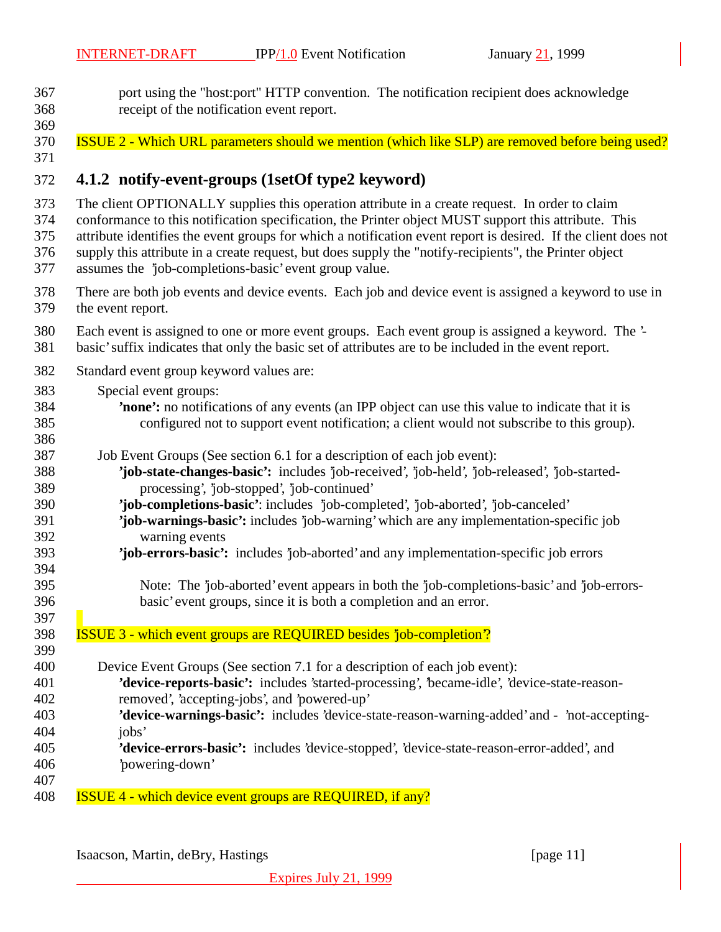port using the "host:port" HTTP convention. The notification recipient does acknowledge receipt of the notification event report. 

**ISSUE 2 - Which URL parameters should we mention (which like SLP) are removed before being used?** 

## **4.1.2 notify-event-groups (1setOf type2 keyword)**

The client OPTIONALLY supplies this operation attribute in a create request. In order to claim

conformance to this notification specification, the Printer object MUST support this attribute. This

attribute identifies the event groups for which a notification event report is desired. If the client does not

 supply this attribute in a create request, but does supply the "notify-recipients", the Printer object assumes the 'job-completions-basic' event group value.

- There are both job events and device events. Each job and device event is assigned a keyword to use in the event report.
- Each event is assigned to one or more event groups. Each event group is assigned a keyword. The '- basic' suffix indicates that only the basic set of attributes are to be included in the event report.
- Standard event group keyword values are:
- Special event groups:
- **'none':** no notifications of any events (an IPP object can use this value to indicate that it is configured not to support event notification; a client would not subscribe to this group).
- Job Event Groups (See section 6.1 for a description of each job event):
- **'job-state-changes-basic':** includes 'job-received', 'job-held', 'job-released', 'job-started-processing', 'job-stopped', 'job-continued'
- **'job-completions-basic'**: includes 'job-completed', 'job-aborted', 'job-canceled'
- **'job-warnings-basic':** includes 'job-warning' which are any implementation-specific job warning events
- **'job-errors-basic':** includes 'job-aborted' and any implementation-specific job errors
- Note: The 'job-aborted' event appears in both the 'job-completions-basic' and 'job-errors-basic' event groups, since it is both a completion and an error.
- ISSUE 3 which event groups are REQUIRED besides 'job-completion'?
- Device Event Groups (See section 7.1 for a description of each job event): **'device-reports-basic':** includes 'started-processing', 'became-idle', 'device-state-reason- removed', 'accepting-jobs', and 'powered-up' **'device-warnings-basic':** includes 'device-state-reason-warning-added' and - 'not-accepting-404 iobs' **'device-errors-basic':** includes 'device-stopped', 'device-state-reason-error-added', and 'powering-down'
- ISSUE 4 which device event groups are REQUIRED, if any?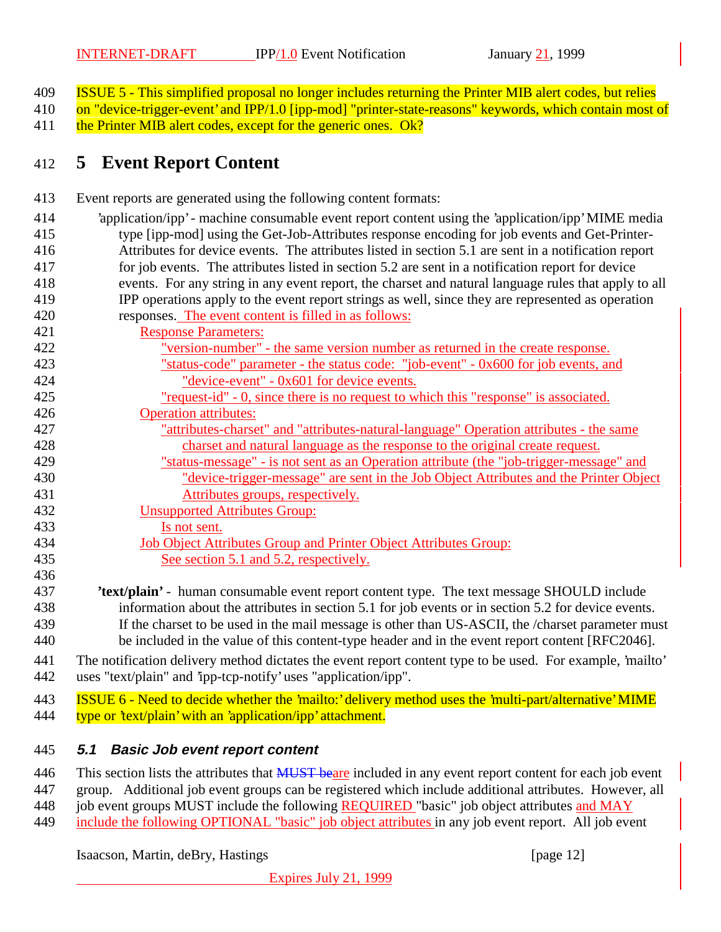- ISSUE 5 This simplified proposal no longer includes returning the Printer MIB alert codes, but relies
- 410 on "device-trigger-event' and IPP/1.0 [ipp-mod] "printer-state-reasons" keywords, which contain most of

411 the Printer MIB alert codes, except for the generic ones. Ok?

# **5 Event Report Content**

- Event reports are generated using the following content formats:
- 'application/ipp' machine consumable event report content using the 'application/ipp' MIME media type [ipp-mod] using the Get-Job-Attributes response encoding for job events and Get-Printer- Attributes for device events. The attributes listed in section 5.1 are sent in a notification report for job events. The attributes listed in section 5.2 are sent in a notification report for device events. For any string in any event report, the charset and natural language rules that apply to all IPP operations apply to the event report strings as well, since they are represented as operation responses. The event content is filled in as follows:
- Response Parameters:
- "version-number" the same version number as returned in the create response. "status-code" parameter - the status code: "job-event" - 0x600 for job events, and "device-event" - 0x601 for device events. "request-id" - 0, since there is no request to which this "response" is associated.
- Operation attributes:
- "attributes-charset" and "attributes-natural-language" Operation attributes the same charset and natural language as the response to the original create request.
- "status-message" is not sent as an Operation attribute (the "job-trigger-message" and "device-trigger-message" are sent in the Job Object Attributes and the Printer Object Attributes groups, respectively.
- Unsupported Attributes Group:
- Is not sent.
- Job Object Attributes Group and Printer Object Attributes Group: 435 See section 5.1 and 5.2, respectively.
- **'text/plain'** - human consumable event report content type. The text message SHOULD include information about the attributes in section 5.1 for job events or in section 5.2 for device events.
- If the charset to be used in the mail message is other than US-ASCII, the /charset parameter must be included in the value of this content-type header and in the event report content [RFC2046].
- The notification delivery method dictates the event report content type to be used. For example, 'mailto' uses "text/plain" and 'ipp-tcp-notify' uses "application/ipp".

443 ISSUE 6 - Need to decide whether the 'mailto:' delivery method uses the 'multi-part/alternative' MIME 444 type or 'text/plain' with an 'application/ipp' attachment.

# **5.1 Basic Job event report content**

- 446 This section lists the attributes that **MUST** beare included in any event report content for each job event
- group. Additional job event groups can be registered which include additional attributes. However, all
- 448 job event groups MUST include the following **REQUIRED** "basic" job object attributes and MAY
- include the following OPTIONAL "basic" job object attributes in any job event report. All job event

Isaacson, Martin, deBry, Hastings [page 12]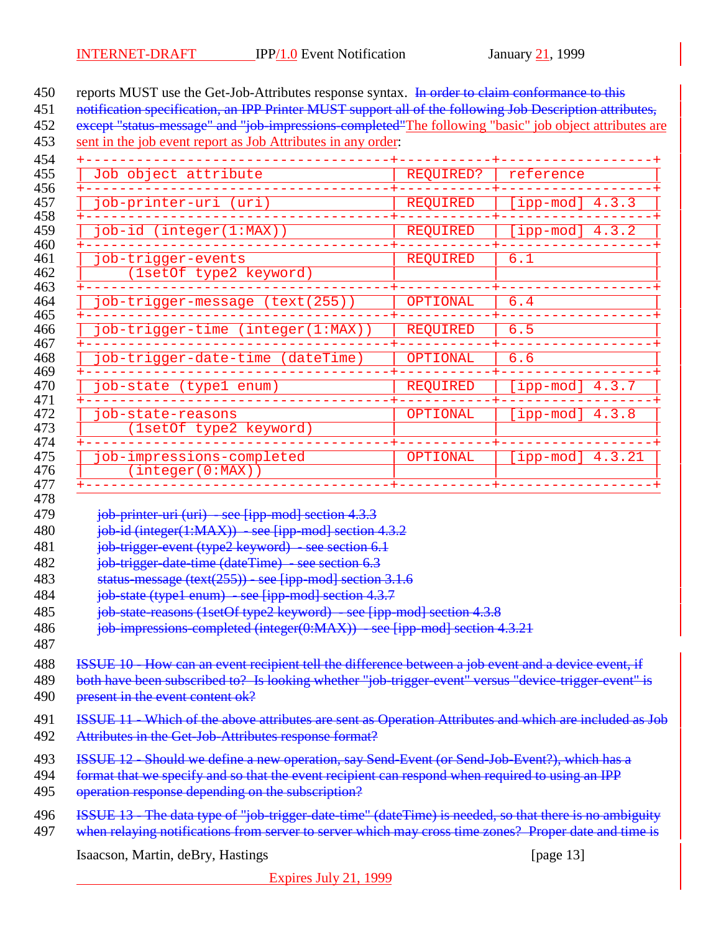450 reports MUST use the Get-Job-Attributes response syntax. In order to claim conformance to this

451 notification specification, an IPP Printer MUST support all of the following Job Description attributes,

452 except "status message" and "job-impressions-completed"The following "basic" job object attributes are

sent in the job event report as Job Attributes in any order:

| Job object attribute                          | REQUIRED?       | reference                    |
|-----------------------------------------------|-----------------|------------------------------|
| job-printer-uri (uri)                         | <b>REQUIRED</b> | [ipp-mod] $4.3.\overline{3}$ |
| job-id (integer(1:MAX))                       | <b>REQUIRED</b> | [ipp-mod] $4.3.\overline{2}$ |
| job-trigger-events<br>(1setOf type2 keyword)  | <b>REQUIRED</b> | 6.1                          |
| job-trigger-message (text(255))               | OPTIONAL        | 6.4                          |
| job-trigger-time (integer(1:MAX))             | <b>REQUIRED</b> | 6.5                          |
| job-trigger-date-time (dateTime)              | OPTIONAL        | 6.6                          |
| job-state (typel enum)                        | <b>REQUIRED</b> | [ipp-mod] $4.3.7$            |
| job-state-reasons<br>(1setOf type2 keyword)   | OPTIONAL        | [ipp-mod] $4.3.8$            |
| job-impressions-completed<br>(integer(0:MAX)) | OPTIONAL        | [ipp-mod] $4.3.21$           |

*job-printer-uri (uri) - see [ipp-mod] section 4.3.3* 

480 job-id (integer(1:MAX)) - see [ipp-mod] section 4.3.2

481 job-trigger-event (type2 keyword) - see section 6.1

482 job-trigger-date-time (dateTime) - see section 6.3

483 status-message (text( $\frac{255}{25}$ ) - see [ipp-mod] section 3.1.6

**job-state (type1 enum)** - see [ipp-mod] section 4.3.7

485 iob-state-reasons (1setOf type2 keyword) - see [ipp-mod] section 4.3.8

486 iob-impressions-completed (integer(0:MAX)) - see [ipp-mod] section 4.3.21

ISSUE 10 - How can an event recipient tell the difference between a job event and a device event, if

489 both have been subscribed to? Is looking whether "job-trigger-event" versus "device-trigger-event" is 490 present in the event content ok?

**ISSUE 11 - Which of the above attributes are sent as Operation Attributes and which are included as Job** 492 Attributes in the Get-Job-Attributes response format?

ISSUE 12 - Should we define a new operation, say Send-Event (or Send-Job-Event?), which has a

494 format that we specify and so that the event recipient can respond when required to using an IPP

495 operation response depending on the subscription?

496 ISSUE 13 - The data type of "job-trigger-date-time" (dateTime) is needed, so that there is no ambiguity 497 when relaying notifications from server to server which may cross time zones? Proper date and time is

Isaacson, Martin, deBry, Hastings [page 13] [page 13]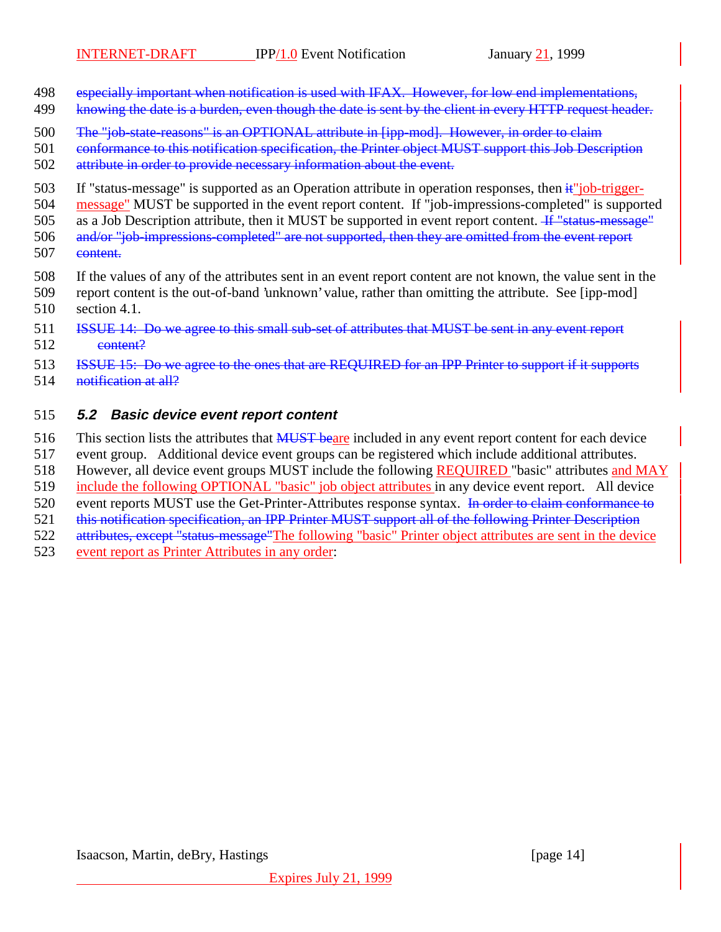- 498 especially important when notification is used with IFAX. However, for low end implementations,
- 499 knowing the date is a burden, even though the date is sent by the client in every HTTP request header.
- 500 The "job-state-reasons" is an OPTIONAL attribute in [ipp-mod]. However, in order to claim

501 conformance to this notification specification, the Printer object MUST support this Job Description

- 502 attribute in order to provide necessary information about the event.
- 503 If "status-message" is supported as an Operation attribute in operation responses, then  $\frac{1}{x}$ "job-trigger-
- 504 message" MUST be supported in the event report content. If "job-impressions-completed" is supported
- 505 as a Job Description attribute, then it MUST be supported in event report content. If "status-message"

506 and/or "job-impressions-completed" are not supported, then they are omitted from the event report 507 content.

- 508 If the values of any of the attributes sent in an event report content are not known, the value sent in the
- 509 report content is the out-of-band 'unknown' value, rather than omitting the attribute. See [ipp-mod] 510 section 4.1.
- 511 **ISSUE 14:** Do we agree to this small sub-set of attributes that MUST be sent in any event report 512 content?

513 **ISSUE 15:** Do we agree to the ones that are REQUIRED for an IPP Printer to support if it supports

514 <del>notification at all?</del>

#### 515 **5.2 Basic device event report content**

- 516 This section lists the attributes that **MUST** beare included in any event report content for each device
- 517 event group. Additional device event groups can be registered which include additional attributes.
- 518 However, all device event groups MUST include the following REQUIRED "basic" attributes and MAY
- 519 include the following OPTIONAL "basic" job object attributes in any device event report. All device
- 520 event reports MUST use the Get-Printer-Attributes response syntax. In order to claim conformance to
- 521 this notification specification, an IPP Printer MUST support all of the following Printer Description
- 522 attributes, except "status-message"The following "basic" Printer object attributes are sent in the device
- 523 event report as Printer Attributes in any order: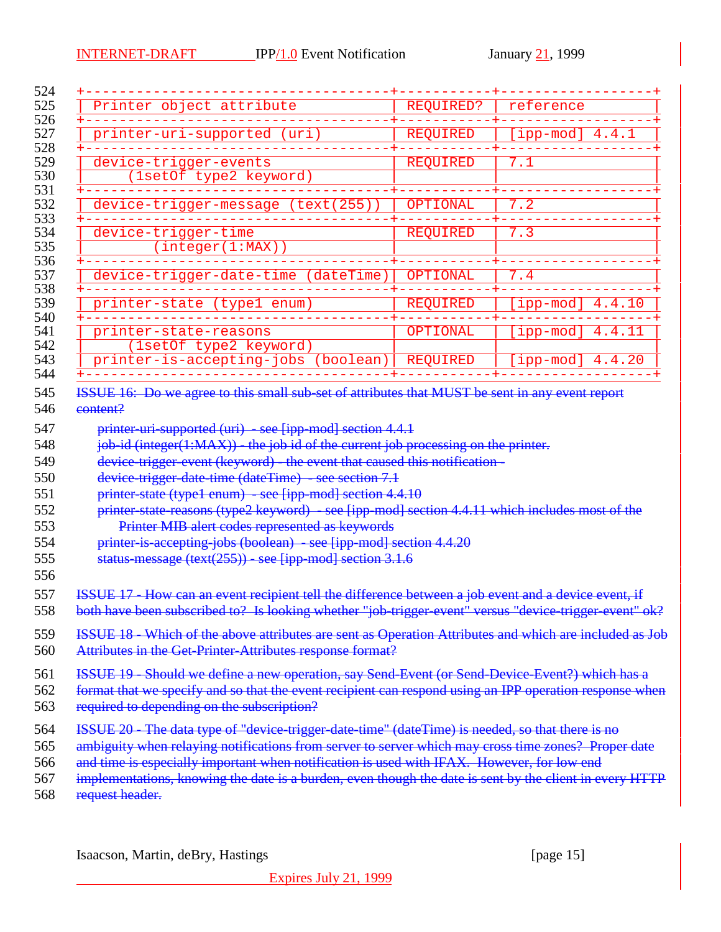| Printer object attribute                                                                                                                                                                                                                                                                                                  |                                                           | REQUIRED?       | reference                     |        |
|---------------------------------------------------------------------------------------------------------------------------------------------------------------------------------------------------------------------------------------------------------------------------------------------------------------------------|-----------------------------------------------------------|-----------------|-------------------------------|--------|
| printer-uri-supported (uri)                                                                                                                                                                                                                                                                                               |                                                           | <b>REQUIRED</b> | [ipp-mod] $4.4.1$             |        |
| device-trigger-events<br>(1setOf type2 keyword)                                                                                                                                                                                                                                                                           |                                                           | <b>REOUIRED</b> | 7.1                           |        |
| device-trigger-message (text(255))                                                                                                                                                                                                                                                                                        |                                                           | OPTIONAL        | 7.2                           |        |
| device-trigger-time<br>(integer(1:MAX))                                                                                                                                                                                                                                                                                   |                                                           | <b>REQUIRED</b> | 7.3                           |        |
| device-trigger-date-time (dateTime)                                                                                                                                                                                                                                                                                       |                                                           | OPTIONAL        | 7.4                           |        |
| printer-state (type1 enum)                                                                                                                                                                                                                                                                                                |                                                           | <b>REQUIRED</b> | $[ipp-mod]$ 4.4.10            |        |
| printer-state-reasons<br>(1setOf type2 keyword)                                                                                                                                                                                                                                                                           |                                                           | OPTIONAL        | $[ipp-mod]$                   | 4.4.11 |
| printer-is-accepting-jobs (boolean)                                                                                                                                                                                                                                                                                       |                                                           | <b>REQUIRED</b> | [ipp-mod] $4.4.\overline{20}$ |        |
| job id (integer(1:MAX)) the job id of the current job processing on the printer.<br>device-trigger-event (keyword) - the event that caused this notification -<br>device-trigger-date-time (dateTime) - see section 7.1                                                                                                   | printer uri supported (uri) - see [ipp-mod] section 4.4.1 |                 |                               |        |
| printer-state (type1 enum) - see [ipp-mod] section 4.4.10<br>printer state reasons (type2 keyword) - see [ipp-mod] section 4.4.11 which includes most of the<br>printer-is-accepting-jobs (boolean) - see [ipp-mod] section 4.4.20<br>status-message (text(255)) - see [ipp-mod] section 3.1.6                            | Printer MIB alert codes represented as keywords           |                 |                               |        |
| ISSUE 17 - How can an event recipient tell the difference between a job event and a device event, if<br>both have been subscribed to? Is looking whether "job trigger event" versus "device trigger event" ok?<br>ISSUE 18 - Which of the above attributes are sent as Operation Attributes and which are included as Job |                                                           |                 |                               |        |
| Attributes in the Get-Printer-Attributes response format?<br>ISSUE 19 - Should we define a new operation, say Send-Event (or Send-Device-Event?) which has a<br>format that we specify and so that the event recipient can respond using an IPP operation response when<br>required to depending on the subscription?     |                                                           |                 |                               |        |

Isaacson, Martin, deBry, Hastings [page 15]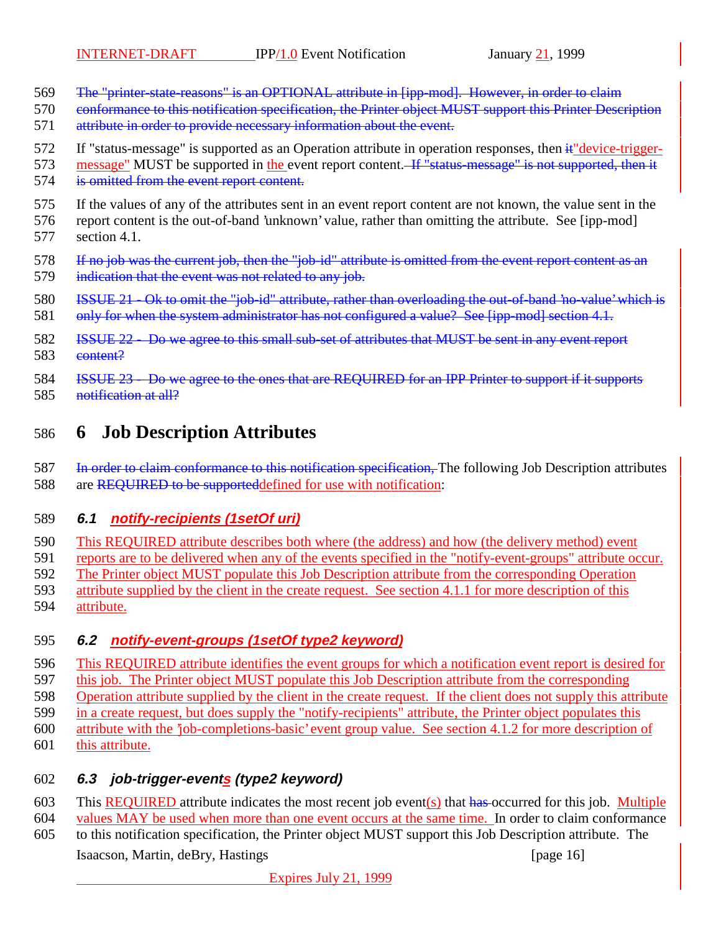- The "printer-state-reasons" is an OPTIONAL attribute in [ipp-mod]. However, in order to claim
- 570 conformance to this notification specification, the Printer object MUST support this Printer Description
- attribute in order to provide necessary information about the event.
- 572 If "status-message" is supported as an Operation attribute in operation responses, then it device-trigger-
- 573 message" MUST be supported in the event report content. If "status-message" is not supported, then it 574 is omitted from the event report content.
- If the values of any of the attributes sent in an event report content are not known, the value sent in the report content is the out-of-band 'unknown' value, rather than omitting the attribute. See [ipp-mod] section 4.1.
- 578 If no job was the current job, then the "job-id" attribute is omitted from the event report content as an
- 579 indication that the event was not related to any job.
- ISSUE 21 Ok to omit the "job-id" attribute, rather than overloading the out-of-band 'no-value' which is
- 581 only for when the system administrator has not configured a value? See [ipp-mod] section 4.1.
- ISSUE 22 Do we agree to this small sub-set of attributes that MUST be sent in any event report 583 content?
- **ISSUE 23 Do we agree to the ones that are REQUIRED for an IPP Printer to support if it supports**
- 585 <del>notification at all?</del>

# **6 Job Description Attributes**

587 In order to claim conformance to this notification specification, The following Job Description attributes 588 are REQUIRED to be supporteddefined for use with notification:

#### **6.1 notify-recipients (1setOf uri)**

- This REQUIRED attribute describes both where (the address) and how (the delivery method) event
- reports are to be delivered when any of the events specified in the "notify-event-groups" attribute occur.
- The Printer object MUST populate this Job Description attribute from the corresponding Operation
- attribute supplied by the client in the create request. See section 4.1.1 for more description of this
- attribute.

### **6.2 notify-event-groups (1setOf type2 keyword)**

- This REQUIRED attribute identifies the event groups for which a notification event report is desired for
- this job. The Printer object MUST populate this Job Description attribute from the corresponding
- Operation attribute supplied by the client in the create request. If the client does not supply this attribute
- in a create request, but does supply the "notify-recipients" attribute, the Printer object populates this
- attribute with the 'job-completions-basic' event group value. See section 4.1.2 for more description of this attribute.

### **6.3 job-trigger-events (type2 keyword)**

- 603 This REQUIRED attribute indicates the most recent job event(s) that has occurred for this job. Multiple
- values MAY be used when more than one event occurs at the same time. In order to claim conformance
- Isaacson, Martin, deBry, Hastings [page 16] to this notification specification, the Printer object MUST support this Job Description attribute. The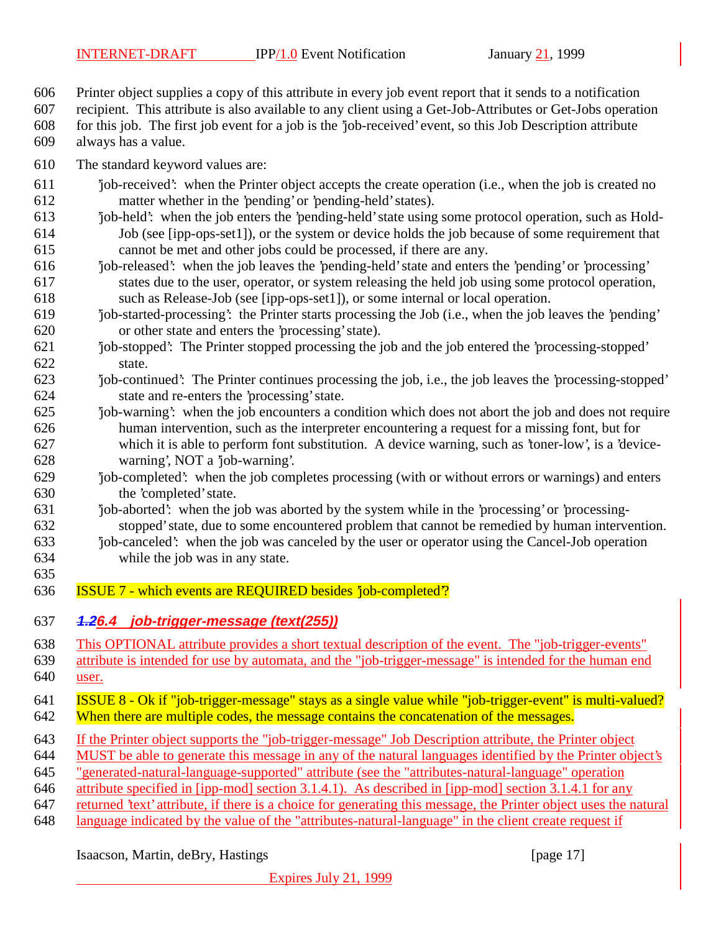Printer object supplies a copy of this attribute in every job event report that it sends to a notification

recipient. This attribute is also available to any client using a Get-Job-Attributes or Get-Jobs operation

 for this job. The first job event for a job is the 'job-received' event, so this Job Description attribute always has a value.

- The standard keyword values are:
- 'job-received': when the Printer object accepts the create operation (i.e., when the job is created no matter whether in the 'pending' or 'pending-held' states).
- 'job-held': when the job enters the 'pending-held' state using some protocol operation, such as Hold- Job (see [ipp-ops-set1]), or the system or device holds the job because of some requirement that cannot be met and other jobs could be processed, if there are any.
- 'job-released': when the job leaves the 'pending-held' state and enters the 'pending' or 'processing' states due to the user, operator, or system releasing the held job using some protocol operation, such as Release-Job (see [ipp-ops-set1]), or some internal or local operation.
- 'job-started-processing': the Printer starts processing the Job (i.e., when the job leaves the 'pending' or other state and enters the 'processing' state).
- 'job-stopped': The Printer stopped processing the job and the job entered the 'processing-stopped' state.
- 'job-continued': The Printer continues processing the job, i.e., the job leaves the 'processing-stopped' state and re-enters the 'processing' state.
- 'job-warning': when the job encounters a condition which does not abort the job and does not require human intervention, such as the interpreter encountering a request for a missing font, but for which it is able to perform font substitution. A device warning, such as 'toner-low', is a 'device-warning', NOT a 'job-warning'.
- 'job-completed': when the job completes processing (with or without errors or warnings) and enters the 'completed' state.
- 'job-aborted': when the job was aborted by the system while in the 'processing' or 'processing-stopped' state, due to some encountered problem that cannot be remedied by human intervention.
- 'job-canceled': when the job was canceled by the user or operator using the Cancel-Job operation while the job was in any state.
- ISSUE 7 which events are REQUIRED besides 'job-completed'?
- **1.26.4 job-trigger-message (text(255))**

- This OPTIONAL attribute provides a short textual description of the event. The "job-trigger-events"
- attribute is intended for use by automata, and the "job-trigger-message" is intended for the human end 640 <u>user.</u>
- ISSUE 8 Ok if "job-trigger-message" stays as a single value while "job-trigger-event" is multi-valued? 642 When there are multiple codes, the message contains the concatenation of the messages.
- If the Printer object supports the "job-trigger-message" Job Description attribute, the Printer object
- MUST be able to generate this message in any of the natural languages identified by the Printer object's
- "generated-natural-language-supported" attribute (see the "attributes-natural-language" operation
- attribute specified in [ipp-mod] section 3.1.4.1). As described in [ipp-mod] section 3.1.4.1 for any
- returned 'text' attribute, if there is a choice for generating this message, the Printer object uses the natural
- language indicated by the value of the "attributes-natural-language" in the client create request if

#### Isaacson, Martin, deBry, Hastings [page 17]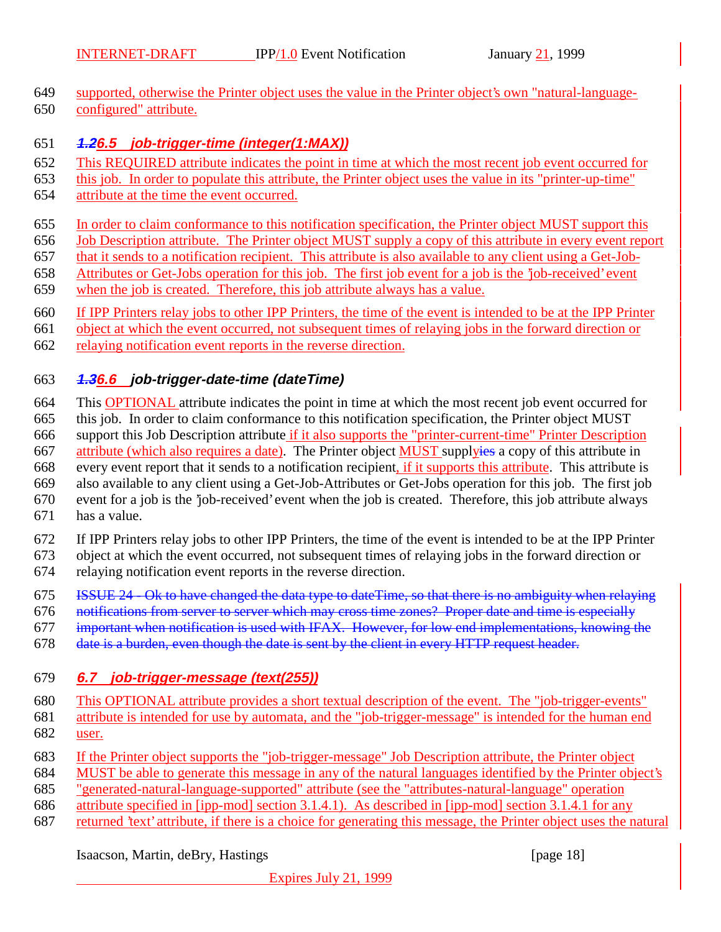- supported, otherwise the Printer object uses the value in the Printer object's own "natural-language-
- configured" attribute.

#### **1.26.5 job-trigger-time (integer(1:MAX))**

- This REQUIRED attribute indicates the point in time at which the most recent job event occurred for
- this job. In order to populate this attribute, the Printer object uses the value in its "printer-up-time"
- attribute at the time the event occurred.
- In order to claim conformance to this notification specification, the Printer object MUST support this
- Job Description attribute. The Printer object MUST supply a copy of this attribute in every event report
- that it sends to a notification recipient. This attribute is also available to any client using a Get-Job-
- Attributes or Get-Jobs operation for this job. The first job event for a job is the 'job-received' event
- when the job is created. Therefore, this job attribute always has a value.
- If IPP Printers relay jobs to other IPP Printers, the time of the event is intended to be at the IPP Printer
- object at which the event occurred, not subsequent times of relaying jobs in the forward direction or
- relaying notification event reports in the reverse direction.

## **1.36.6 job-trigger-date-time (dateTime)**

- This OPTIONAL attribute indicates the point in time at which the most recent job event occurred for this job. In order to claim conformance to this notification specification, the Printer object MUST support this Job Description attribute if it also supports the "printer-current-time" Printer Description 667 attribute (which also requires a date). The Printer object MUST supplyies a copy of this attribute in 668 every event report that it sends to a notification recipient, if it supports this attribute. This attribute is also available to any client using a Get-Job-Attributes or Get-Jobs operation for this job. The first job event for a job is the 'job-received' event when the job is created. Therefore, this job attribute always
- has a value.
- If IPP Printers relay jobs to other IPP Printers, the time of the event is intended to be at the IPP Printer
- object at which the event occurred, not subsequent times of relaying jobs in the forward direction or relaying notification event reports in the reverse direction.
- ISSUE 24 Ok to have changed the data type to dateTime, so that there is no ambiguity when relaying
- notifications from server to server which may cross time zones? Proper date and time is especially
- important when notification is used with IFAX. However, for low end implementations, knowing the
- 678 date is a burden, even though the date is sent by the client in every HTTP request header.

#### **6.7 job-trigger-message (text(255))**

- This OPTIONAL attribute provides a short textual description of the event. The "job-trigger-events"
- attribute is intended for use by automata, and the "job-trigger-message" is intended for the human end user.
- If the Printer object supports the "job-trigger-message" Job Description attribute, the Printer object
- MUST be able to generate this message in any of the natural languages identified by the Printer object's
- "generated-natural-language-supported" attribute (see the "attributes-natural-language" operation
- attribute specified in [ipp-mod] section 3.1.4.1). As described in [ipp-mod] section 3.1.4.1 for any
- returned 'text' attribute, if there is a choice for generating this message, the Printer object uses the natural

#### Isaacson, Martin, deBry, Hastings [page 18] [page 18]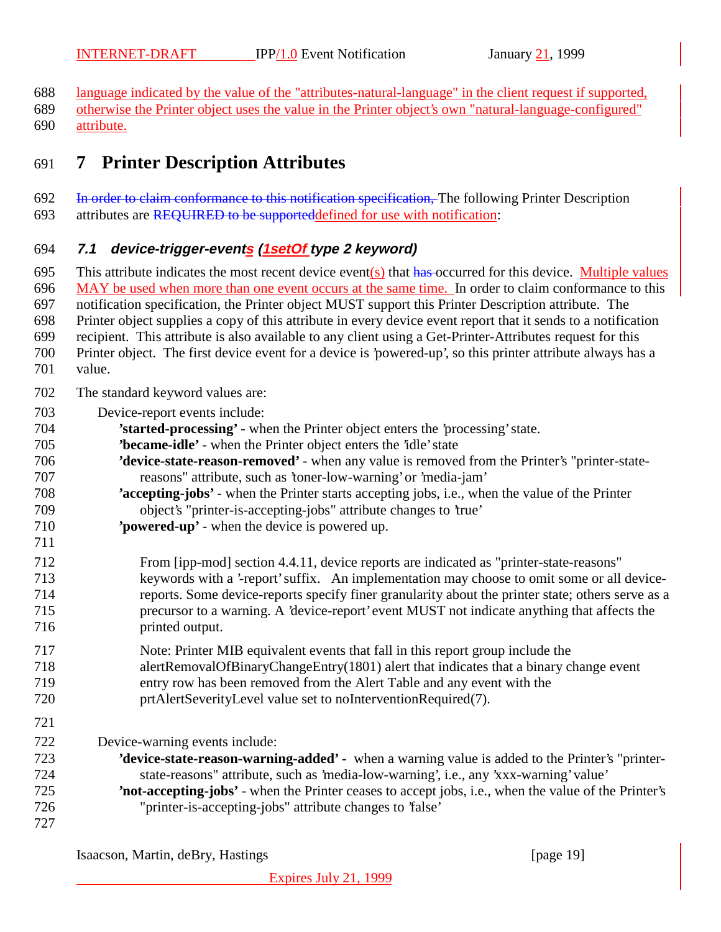language indicated by the value of the "attributes-natural-language" in the client request if supported,

 otherwise the Printer object uses the value in the Printer object's own "natural-language-configured" attribute.

# **7 Printer Description Attributes**

#### 692 In order to claim conformance to this notification specification, The following Printer Description

693 attributes are REQUIRED to be supporteddefined for use with notification:

### **7.1 device-trigger-events (1setOf type 2 keyword)**

695 This attribute indicates the most recent device event(s) that  $\frac{h}{\text{has}}$ -occurred for this device. Multiple values

MAY be used when more than one event occurs at the same time. In order to claim conformance to this

notification specification, the Printer object MUST support this Printer Description attribute. The

 Printer object supplies a copy of this attribute in every device event report that it sends to a notification recipient. This attribute is also available to any client using a Get-Printer-Attributes request for this

- Printer object. The first device event for a device is 'powered-up', so this printer attribute always has a
- value.

- The standard keyword values are:
- Device-report events include:
- **'started-processing'** when the Printer object enters the 'processing' state.
- **'became-idle'** when the Printer object enters the 'idle' state
- **'device-state-reason-removed'**  when any value is removed from the Printer's "printer-state-reasons" attribute, such as 'toner-low-warning' or 'media-jam'
- **'accepting-jobs'** when the Printer starts accepting jobs, i.e., when the value of the Printer object's "printer-is-accepting-jobs" attribute changes to 'true'
- **'powered-up'** when the device is powered up.
- From [ipp-mod] section 4.4.11, device reports are indicated as "printer-state-reasons" keywords with a '-report' suffix. An implementation may choose to omit some or all device- reports. Some device-reports specify finer granularity about the printer state; others serve as a precursor to a warning. A 'device-report' event MUST not indicate anything that affects the printed output.
- Note: Printer MIB equivalent events that fall in this report group include the alertRemovalOfBinaryChangeEntry(1801) alert that indicates that a binary change event entry row has been removed from the Alert Table and any event with the prtAlertSeverityLevel value set to noInterventionRequired(7).
- Device-warning events include:
- **'device-state-reason-warning-added'** when a warning value is added to the Printer's "printer- state-reasons" attribute, such as 'media-low-warning', i.e., any 'xxx-warning' value' **'not-accepting-jobs'** - when the Printer ceases to accept jobs, i.e., when the value of the Printer's "printer-is-accepting-jobs" attribute changes to 'false'
- 

Isaacson, Martin, deBry, Hastings [page 19] [page 19]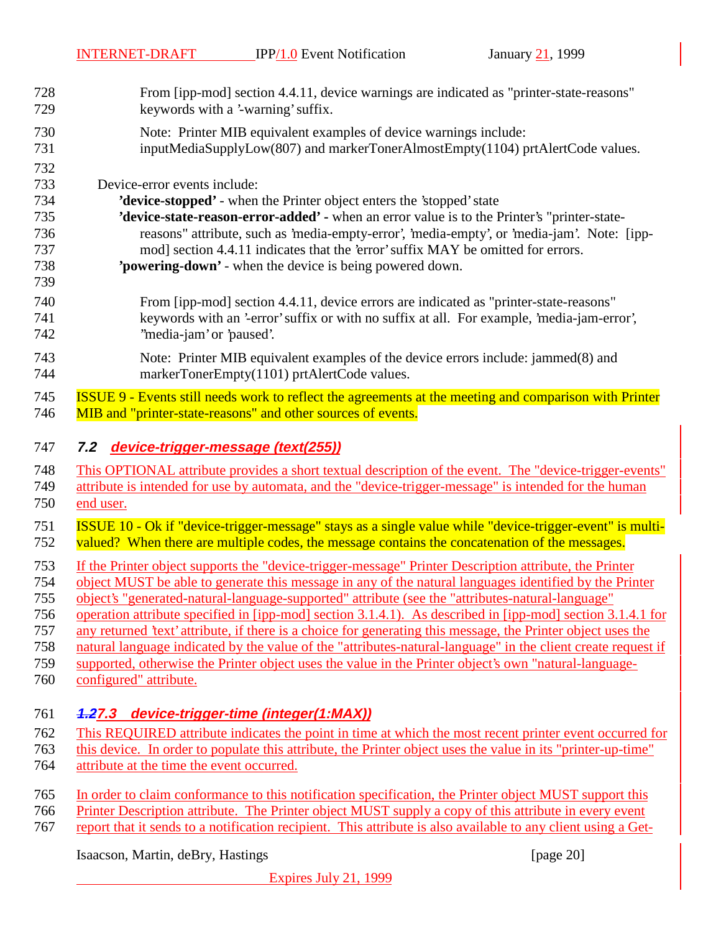From [ipp-mod] section 4.4.11, device warnings are indicated as "printer-state-reasons" 729 keywords with a '-warning' suffix. Note: Printer MIB equivalent examples of device warnings include: 731 inputMediaSupplyLow(807) and markerTonerAlmostEmpty(1104) prtAlertCode values. Device-error events include: **'device-stopped'** - when the Printer object enters the 'stopped' state **'device-state-reason-error-added' -** when an error value is to the Printer's "printer-state- reasons" attribute, such as 'media-empty-error', 'media-empty', or 'media-jam'. Note: [ipp- mod] section 4.4.11 indicates that the 'error' suffix MAY be omitted for errors. **'powering-down'** - when the device is being powered down. From [ipp-mod] section 4.4.11, device errors are indicated as "printer-state-reasons" keywords with an '-error' suffix or with no suffix at all. For example, 'media-jam-error', ''media-jam' or 'paused'. Note: Printer MIB equivalent examples of the device errors include: jammed(8) and markerTonerEmpty(1101) prtAlertCode values. ISSUE 9 - Events still needs work to reflect the agreements at the meeting and comparison with Printer MIB and "printer-state-reasons" and other sources of events. **7.2 device-trigger-message (text(255))** This OPTIONAL attribute provides a short textual description of the event. The "device-trigger-events" attribute is intended for use by automata, and the "device-trigger-message" is intended for the human end user. ISSUE 10 - Ok if "device-trigger-message" stays as a single value while "device-trigger-event" is multi-752 valued? When there are multiple codes, the message contains the concatenation of the messages. If the Printer object supports the "device-trigger-message" Printer Description attribute, the Printer object MUST be able to generate this message in any of the natural languages identified by the Printer object's "generated-natural-language-supported" attribute (see the "attributes-natural-language" operation attribute specified in [ipp-mod] section 3.1.4.1). As described in [ipp-mod] section 3.1.4.1 for any returned 'text' attribute, if there is a choice for generating this message, the Printer object uses the natural language indicated by the value of the "attributes-natural-language" in the client create request if supported, otherwise the Printer object uses the value in the Printer object's own "natural-language- configured" attribute. **1.27.3 device-trigger-time (integer(1:MAX))** This REQUIRED attribute indicates the point in time at which the most recent printer event occurred for this device. In order to populate this attribute, the Printer object uses the value in its "printer-up-time" attribute at the time the event occurred. In order to claim conformance to this notification specification, the Printer object MUST support this Printer Description attribute. The Printer object MUST supply a copy of this attribute in every event report that it sends to a notification recipient. This attribute is also available to any client using a Get-

Isaacson, Martin, deBry, Hastings [page 20]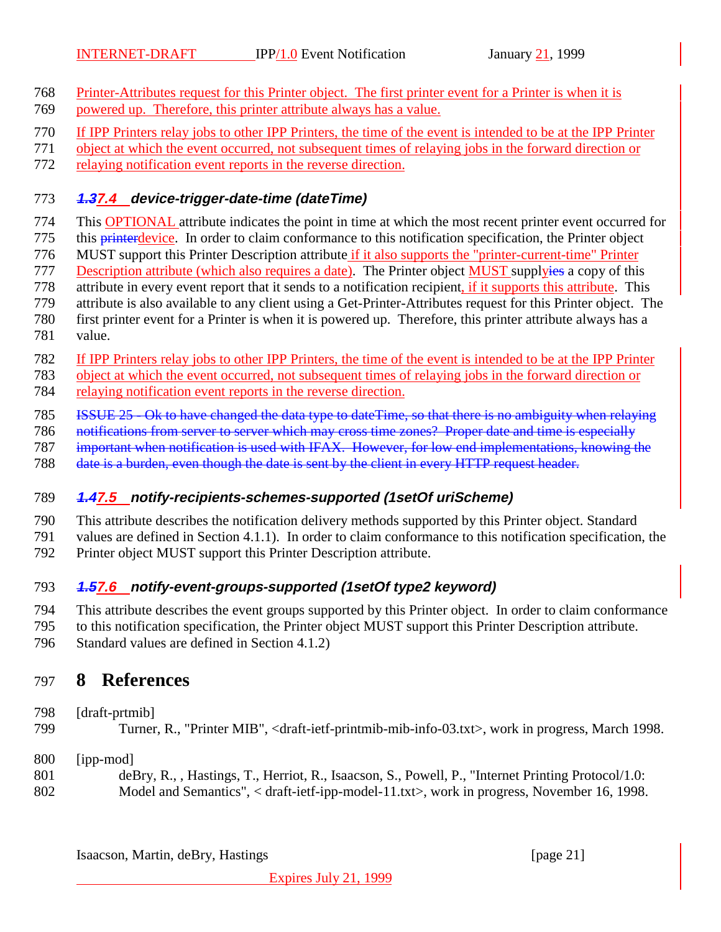- Printer-Attributes request for this Printer object. The first printer event for a Printer is when it is powered up. Therefore, this printer attribute always has a value.
- If IPP Printers relay jobs to other IPP Printers, the time of the event is intended to be at the IPP Printer
- object at which the event occurred, not subsequent times of relaying jobs in the forward direction or
- relaying notification event reports in the reverse direction.

#### **1.37.4 device-trigger-date-time (dateTime)**

- This OPTIONAL attribute indicates the point in time at which the most recent printer event occurred for
- 775 this printerdevice. In order to claim conformance to this notification specification, the Printer object
- 776 MUST support this Printer Description attribute if it also supports the "printer-current-time" Printer
- 777 Description attribute (which also requires a date). The Printer object **MUST** supplyies a copy of this
- attribute in every event report that it sends to a notification recipient, if it supports this attribute. This
- attribute is also available to any client using a Get-Printer-Attributes request for this Printer object. The
- first printer event for a Printer is when it is powered up. Therefore, this printer attribute always has a
- value.
- If IPP Printers relay jobs to other IPP Printers, the time of the event is intended to be at the IPP Printer
- object at which the event occurred, not subsequent times of relaying jobs in the forward direction or
- relaying notification event reports in the reverse direction.
- ISSUE 25 Ok to have changed the data type to dateTime, so that there is no ambiguity when relaying
- notifications from server to server which may cross time zones? Proper date and time is especially
- important when notification is used with IFAX. However, for low end implementations, knowing the
- 788 date is a burden, even though the date is sent by the client in every HTTP request header.

### **1.47.5 notify-recipients-schemes-supported (1setOf uriScheme)**

- This attribute describes the notification delivery methods supported by this Printer object. Standard
- values are defined in Section 4.1.1). In order to claim conformance to this notification specification, the
- Printer object MUST support this Printer Description attribute.

## **1.57.6 notify-event-groups-supported (1setOf type2 keyword)**

- This attribute describes the event groups supported by this Printer object. In order to claim conformance
- to this notification specification, the Printer object MUST support this Printer Description attribute.
- Standard values are defined in Section 4.1.2)

# **8 References**

- [draft-prtmib]
- Turner, R., "Printer MIB", <draft-ietf-printmib-mib-info-03.txt>, work in progress, March 1998.
- [ipp-mod]
- deBry, R., , Hastings, T., Herriot, R., Isaacson, S., Powell, P., "Internet Printing Protocol/1.0: Model and Semantics", < draft-ietf-ipp-model-11.txt>, work in progress, November 16, 1998.

Isaacson, Martin, deBry, Hastings [page 21]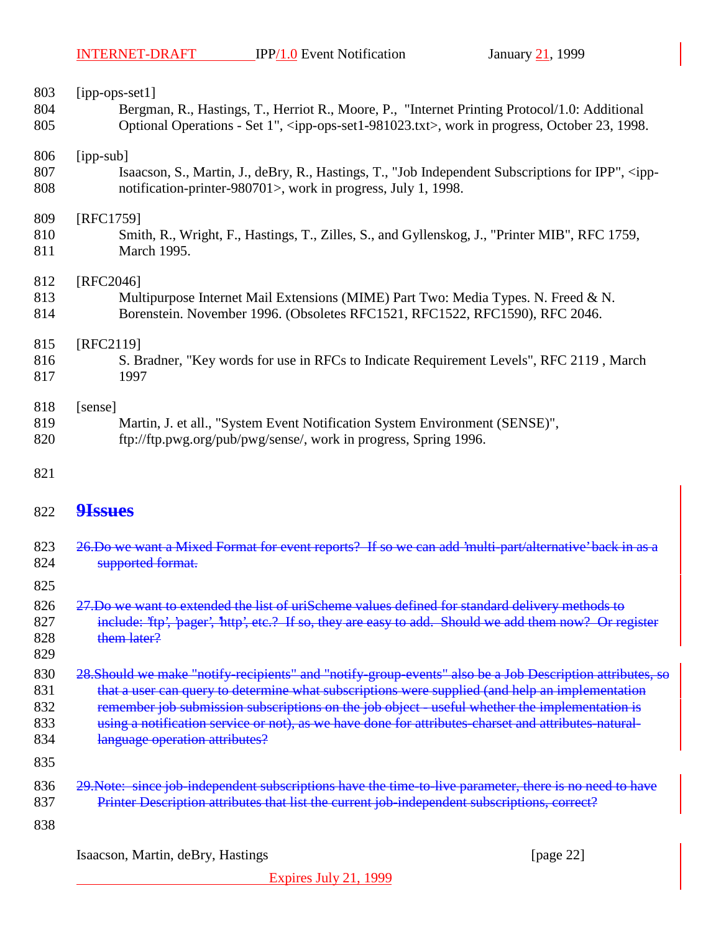| 803                             | $[ipp-ops-set1]$                                                                                                                                                                                                          |  |
|---------------------------------|---------------------------------------------------------------------------------------------------------------------------------------------------------------------------------------------------------------------------|--|
| 804                             | Bergman, R., Hastings, T., Herriot R., Moore, P., "Internet Printing Protocol/1.0: Additional                                                                                                                             |  |
| 805                             | Optional Operations - Set 1", <ipp-ops-set1-981023.txt>, work in progress, October 23, 1998.</ipp-ops-set1-981023.txt>                                                                                                    |  |
| 806                             | $[ipp-sub]$                                                                                                                                                                                                               |  |
| 807                             | Isaacson, S., Martin, J., deBry, R., Hastings, T., "Job Independent Subscriptions for IPP", <ipp-< td=""></ipp-<>                                                                                                         |  |
| 808                             | notification-printer-980701>, work in progress, July 1, 1998.                                                                                                                                                             |  |
| 809                             | [RFC1759]                                                                                                                                                                                                                 |  |
| 810                             | Smith, R., Wright, F., Hastings, T., Zilles, S., and Gyllenskog, J., "Printer MIB", RFC 1759,                                                                                                                             |  |
| 811                             | March 1995.                                                                                                                                                                                                               |  |
| 812                             | [RFC2046]                                                                                                                                                                                                                 |  |
| 813                             | Multipurpose Internet Mail Extensions (MIME) Part Two: Media Types. N. Freed & N.                                                                                                                                         |  |
| 814                             | Borenstein. November 1996. (Obsoletes RFC1521, RFC1522, RFC1590), RFC 2046.                                                                                                                                               |  |
| 815                             | [RFC2119]                                                                                                                                                                                                                 |  |
| 816                             | S. Bradner, "Key words for use in RFCs to Indicate Requirement Levels", RFC 2119, March                                                                                                                                   |  |
| 817                             | 1997                                                                                                                                                                                                                      |  |
| 818                             | [sense]                                                                                                                                                                                                                   |  |
| 819                             | Martin, J. et all., "System Event Notification System Environment (SENSE)",                                                                                                                                               |  |
| 820                             | ftp://ftp.pwg.org/pub/pwg/sense/, work in progress, Spring 1996.                                                                                                                                                          |  |
| 821                             |                                                                                                                                                                                                                           |  |
| 822                             | <b>9Issues</b>                                                                                                                                                                                                            |  |
| 823                             | 26.Do we want a Mixed Format for event reports? If so we can add 'multi-part/alternative' back in as a                                                                                                                    |  |
| 824                             | supported format.                                                                                                                                                                                                         |  |
| 825<br>826<br>827<br>828<br>829 | 27.Do we want to extended the list of uriScheme values defined for standard delivery methods to<br>include: 'ftp', 'pager', 'http', etc.? If so, they are easy to add. Should we add them now? Or register<br>them later? |  |
| 830                             | 28. Should we make "notify-recipients" and "notify-group-events" also be a Job Description attributes, so                                                                                                                 |  |
| 831                             | that a user can query to determine what subscriptions were supplied (and help an implementation                                                                                                                           |  |
| 832                             | remember job submission subscriptions on the job object - useful whether the implementation is                                                                                                                            |  |
| 833                             | using a notification service or not), as we have done for attributes-charset and attributes-natural-                                                                                                                      |  |
| 834                             | language operation attributes?                                                                                                                                                                                            |  |
| 835<br>836                      | 29. Note: since job independent subscriptions have the time to live parameter, there is no need to have                                                                                                                   |  |
| 837<br>838                      | Printer Description attributes that list the current job-independent subscriptions, correct?                                                                                                                              |  |
|                                 |                                                                                                                                                                                                                           |  |

Isaacson, Martin, deBry, Hastings [page 22]

Expires July 21, 1999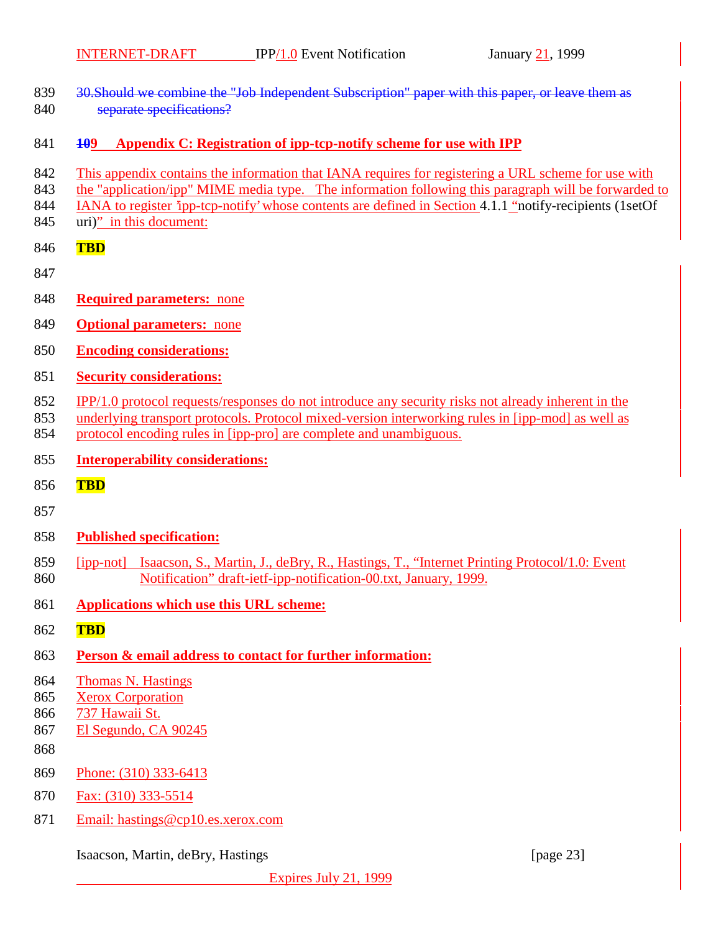- 839 30. Should we combine the "Job Independent Subscription" paper with this paper, or leave them as 840 separate specifications?
- **109 Appendix C: Registration of ipp-tcp-notify scheme for use with IPP**
- This appendix contains the information that IANA requires for registering a URL scheme for use with
- the "application/ipp" MIME media type. The information following this paragraph will be forwarded to
- 844 IANA to register 'ipp-tcp-notify' whose contents are defined in Section 4.1.1 "notify-recipients (1setOf
- uri)" in this document:
- **TBD**
- 
- **Required parameters:** none
- **Optional parameters:** none
- **Encoding considerations:**
- **Security considerations:**
- IPP/1.0 protocol requests/responses do not introduce any security risks not already inherent in the
- underlying transport protocols. Protocol mixed-version interworking rules in [ipp-mod] as well as
- protocol encoding rules in [ipp-pro] are complete and unambiguous.
- **Interoperability considerations:**
- **TBD**
- 
- **Published specification:**
- [ipp-not] Isaacson, S., Martin, J., deBry, R., Hastings, T., "Internet Printing Protocol/1.0: Event Notification" draft-ietf-ipp-notification-00.txt, January, 1999.
- **Applications which use this URL scheme:**
- **TBD**
- **Person & email address to contact for further information:**
- Thomas N. Hastings
- Xerox Corporation
- 737 Hawaii St.
- El Segundo, CA 90245
- 
- Phone: (310) 333-6413
- Fax: (310) 333-5514
- Email: hastings@cp10.es.xerox.com

Isaacson, Martin, deBry, Hastings [page 23]

Expires July 21, 1999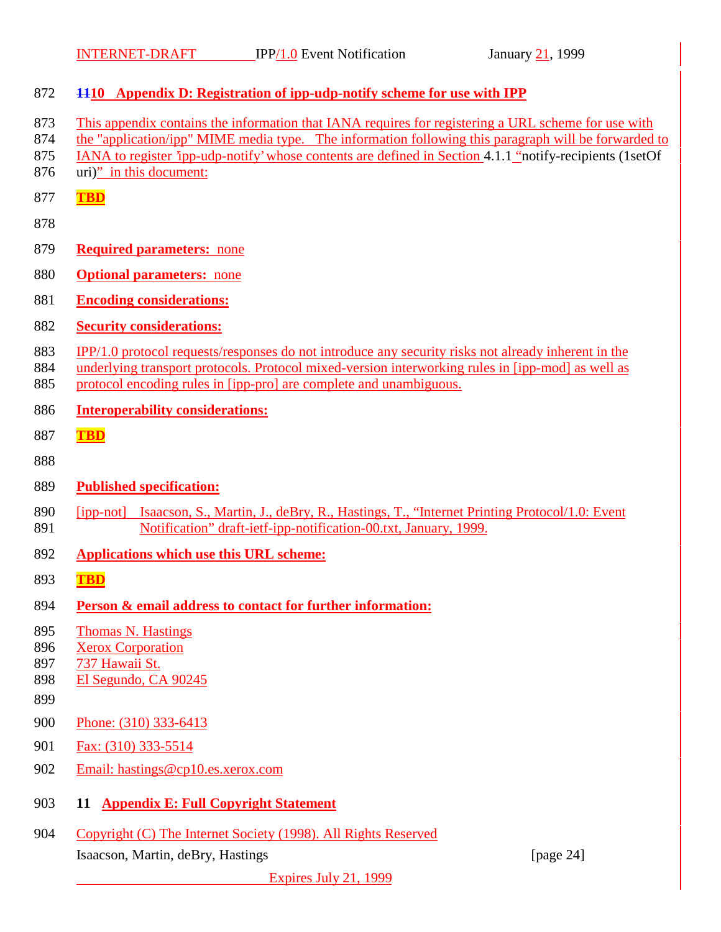| 872                             | 4410 Appendix D: Registration of ipp-udp-notify scheme for use with IPP                                                                                                                                                                                                                                                                            |
|---------------------------------|----------------------------------------------------------------------------------------------------------------------------------------------------------------------------------------------------------------------------------------------------------------------------------------------------------------------------------------------------|
| 873<br>874<br>875<br>876        | This appendix contains the information that IANA requires for registering a URL scheme for use with<br>the "application/ipp" MIME media type. The information following this paragraph will be forwarded to<br>IANA to register 'ipp-udp-notify' whose contents are defined in Section 4.1.1 "notify-recipients (1setOf<br>uri)" in this document: |
| 877                             | <b>TBD</b>                                                                                                                                                                                                                                                                                                                                         |
| 878                             |                                                                                                                                                                                                                                                                                                                                                    |
| 879                             | <b>Required parameters: none</b>                                                                                                                                                                                                                                                                                                                   |
| 880                             | <b>Optional parameters:</b> none                                                                                                                                                                                                                                                                                                                   |
| 881                             | <b>Encoding considerations:</b>                                                                                                                                                                                                                                                                                                                    |
| 882                             | <b>Security considerations:</b>                                                                                                                                                                                                                                                                                                                    |
| 883<br>884<br>885               | IPP/1.0 protocol requests/responses do not introduce any security risks not already inherent in the<br>underlying transport protocols. Protocol mixed-version interworking rules in [ipp-mod] as well as<br>protocol encoding rules in [ipp-pro] are complete and unambiguous.                                                                     |
| 886                             | <b>Interoperability considerations:</b>                                                                                                                                                                                                                                                                                                            |
| 887                             | <b>TBD</b>                                                                                                                                                                                                                                                                                                                                         |
| 888                             |                                                                                                                                                                                                                                                                                                                                                    |
| 889                             | <b>Published specification:</b>                                                                                                                                                                                                                                                                                                                    |
| 890<br>891                      | [ipp-not] Isaacson, S., Martin, J., deBry, R., Hastings, T., "Internet Printing Protocol/1.0: Event<br>Notification" draft-ietf-ipp-notification-00.txt, January, 1999.                                                                                                                                                                            |
| 892                             | <b>Applications which use this URL scheme:</b>                                                                                                                                                                                                                                                                                                     |
| 893                             | <b>TBD</b>                                                                                                                                                                                                                                                                                                                                         |
| 894                             | <b>Person &amp; email address to contact for further information:</b>                                                                                                                                                                                                                                                                              |
| 895<br>896<br>897<br>898<br>899 | <b>Thomas N. Hastings</b><br><b>Xerox Corporation</b><br>737 Hawaii St.<br>El Segundo, CA 90245                                                                                                                                                                                                                                                    |
| 900                             | Phone: (310) 333-6413                                                                                                                                                                                                                                                                                                                              |
| 901                             | Fax: (310) 333-5514                                                                                                                                                                                                                                                                                                                                |
| 902                             | Email: hastings@cp10.es.xerox.com                                                                                                                                                                                                                                                                                                                  |
| 903                             | 11 Appendix E: Full Copyright Statement                                                                                                                                                                                                                                                                                                            |
| 904                             | Copyright (C) The Internet Society (1998). All Rights Reserved                                                                                                                                                                                                                                                                                     |
|                                 | Isaacson, Martin, deBry, Hastings<br>[page $24$ ]                                                                                                                                                                                                                                                                                                  |
|                                 | Expires July 21, 1999                                                                                                                                                                                                                                                                                                                              |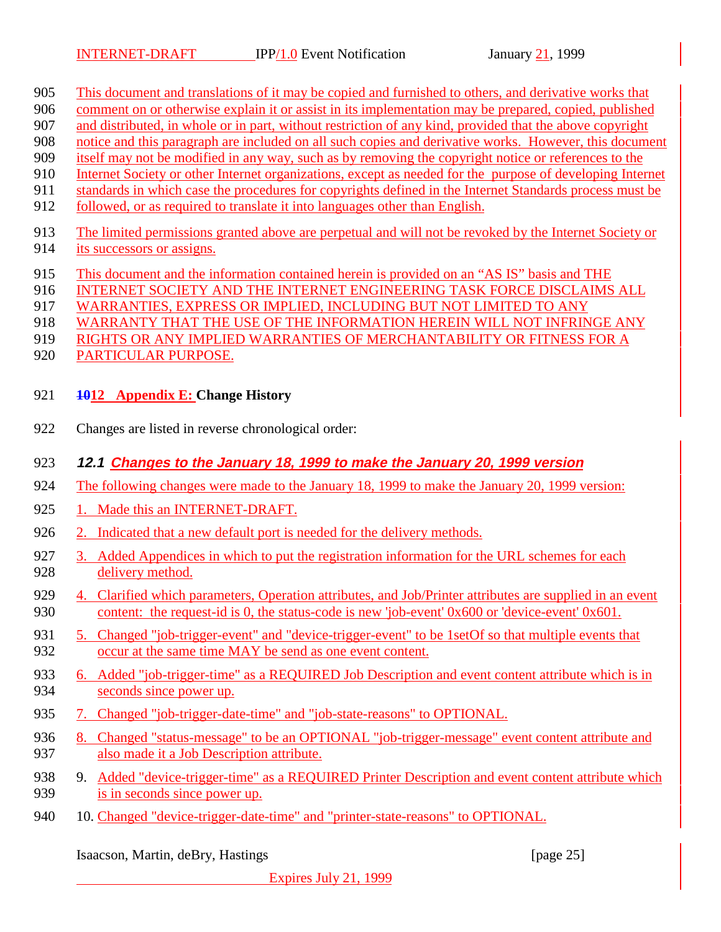- This document and translations of it may be copied and furnished to others, and derivative works that
- comment on or otherwise explain it or assist in its implementation may be prepared, copied, published
- and distributed, in whole or in part, without restriction of any kind, provided that the above copyright
- notice and this paragraph are included on all such copies and derivative works. However, this document itself may not be modified in any way, such as by removing the copyright notice or references to the
- Internet Society or other Internet organizations, except as needed for the purpose of developing Internet
- standards in which case the procedures for copyrights defined in the Internet Standards process must be
- followed, or as required to translate it into languages other than English.
- The limited permissions granted above are perpetual and will not be revoked by the Internet Society or
- its successors or assigns.
- This document and the information contained herein is provided on an "AS IS" basis and THE
- 916 INTERNET SOCIETY AND THE INTERNET ENGINEERING TASK FORCE DISCLAIMS ALL
- WARRANTIES, EXPRESS OR IMPLIED, INCLUDING BUT NOT LIMITED TO ANY
- WARRANTY THAT THE USE OF THE INFORMATION HEREIN WILL NOT INFRINGE ANY
- RIGHTS OR ANY IMPLIED WARRANTIES OF MERCHANTABILITY OR FITNESS FOR A
- PARTICULAR PURPOSE.
- **1012 Appendix E: Change History**
- Changes are listed in reverse chronological order:

## **12.1 Changes to the January 18, 1999 to make the January 20, 1999 version**

- The following changes were made to the January 18, 1999 to make the January 20, 1999 version:
- 925 1. Made this an INTERNET-DRAFT.
- 2. Indicated that a new default port is needed for the delivery methods.
- 927 3. Added Appendices in which to put the registration information for the URL schemes for each delivery method.
- 4. Clarified which parameters, Operation attributes, and Job/Printer attributes are supplied in an event content: the request-id is 0, the status-code is new 'job-event' 0x600 or 'device-event' 0x601.
- 5. Changed "job-trigger-event" and "device-trigger-event" to be 1setOf so that multiple events that occur at the same time MAY be send as one event content.
- 6. Added "job-trigger-time" as a REQUIRED Job Description and event content attribute which is in seconds since power up.
- 7. Changed "job-trigger-date-time" and "job-state-reasons" to OPTIONAL.
- 936 8. Changed "status-message" to be an OPTIONAL "job-trigger-message" event content attribute and also made it a Job Description attribute.
- 938 9. Added "device-trigger-time" as a REQUIRED Printer Description and event content attribute which is in seconds since power up.
- 940 10. Changed "device-trigger-date-time" and "printer-state-reasons" to OPTIONAL.

Isaacson, Martin, deBry, Hastings [page 25]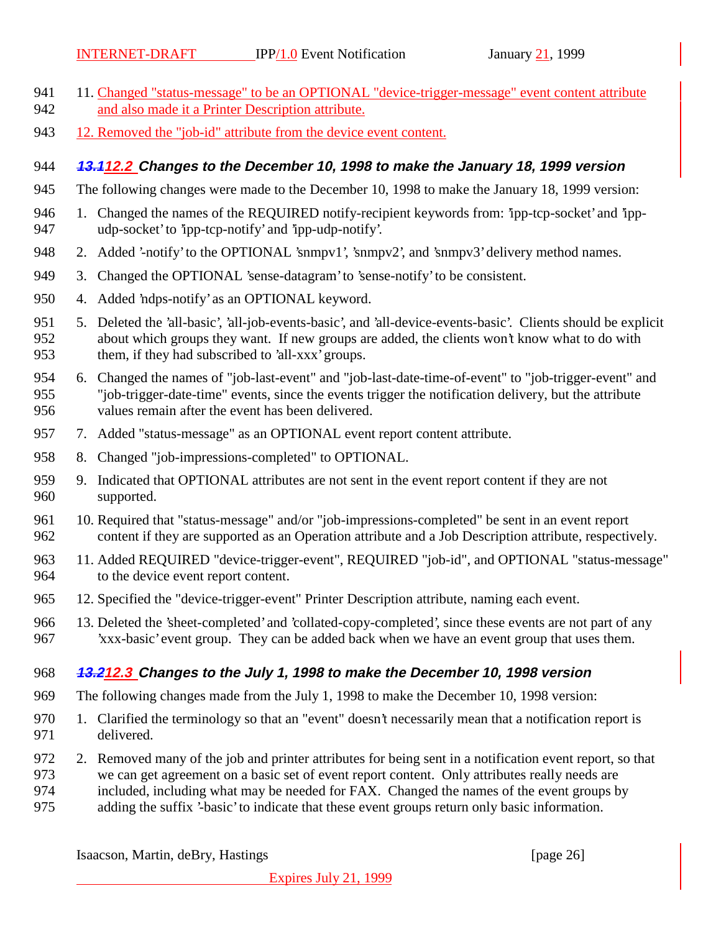- 941 11. Changed "status-message" to be an OPTIONAL "device-trigger-message" event content attribute and also made it a Printer Description attribute.
- 12. Removed the "job-id" attribute from the device event content.

#### **13.112.2 Changes to the December 10, 1998 to make the January 18, 1999 version**

- The following changes were made to the December 10, 1998 to make the January 18, 1999 version:
- 946 1. Changed the names of the REQUIRED notify-recipient keywords from: 'ipp-tcp-socket' and 'ipp-udp-socket' to 'ipp-tcp-notify' and 'ipp-udp-notify'.
- 948 2. Added '-notify' to the OPTIONAL 'snmpv1', 'snmpv2', and 'snmpv3' delivery method names.
- 3. Changed the OPTIONAL 'sense-datagram' to 'sense-notify' to be consistent.
- 4. Added 'ndps-notify' as an OPTIONAL keyword.
- 5. Deleted the 'all-basic', 'all-job-events-basic', and 'all-device-events-basic'. Clients should be explicit about which groups they want. If new groups are added, the clients won't know what to do with them, if they had subscribed to 'all-xxx' groups.
- 6. Changed the names of "job-last-event" and "job-last-date-time-of-event" to "job-trigger-event" and "job-trigger-date-time" events, since the events trigger the notification delivery, but the attribute values remain after the event has been delivered.
- 7. Added "status-message" as an OPTIONAL event report content attribute.
- 8. Changed "job-impressions-completed" to OPTIONAL.
- 959 9. Indicated that OPTIONAL attributes are not sent in the event report content if they are not supported.
- 10. Required that "status-message" and/or "job-impressions-completed" be sent in an event report content if they are supported as an Operation attribute and a Job Description attribute, respectively.
- 11. Added REQUIRED "device-trigger-event", REQUIRED "job-id", and OPTIONAL "status-message" to the device event report content.
- 12. Specified the "device-trigger-event" Printer Description attribute, naming each event.
- 13. Deleted the 'sheet-completed' and 'collated-copy-completed', since these events are not part of any 'xxx-basic' event group. They can be added back when we have an event group that uses them.

#### **13.212.3 Changes to the July 1, 1998 to make the December 10, 1998 version**

- The following changes made from the July 1, 1998 to make the December 10, 1998 version:
- 1. Clarified the terminology so that an "event" doesn't necessarily mean that a notification report is delivered.
- 2. Removed many of the job and printer attributes for being sent in a notification event report, so that
- we can get agreement on a basic set of event report content. Only attributes really needs are
- included, including what may be needed for FAX. Changed the names of the event groups by
- adding the suffix '-basic' to indicate that these event groups return only basic information.